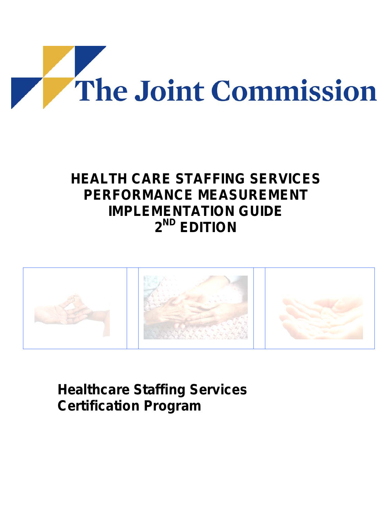

# **HEALTH CARE STAFFING SERVICES PERFORMANCE MEASUREMENT IMPLEMENTATION GUIDE 2ND EDITION**



**Healthcare Staffing Services Certification Program**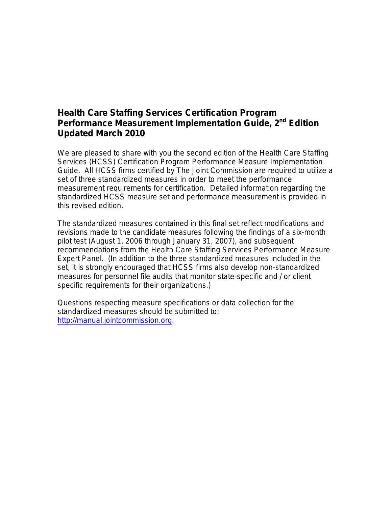# **Health Care Staffing Services Certification Program Performance Measurement Implementation Guide, 2nd Edition Updated March 2010**

We are pleased to share with you the second edition of the Health Care Staffing Services (HCSS) Certification Program Performance Measure Implementation Guide. All HCSS firms certified by The Joint Commission are required to utilize a set of three standardized measures in order to meet the performance measurement requirements for certification. Detailed information regarding the standardized HCSS measure set and performance measurement is provided in this revised edition.

The standardized measures contained in this final set reflect modifications and revisions made to the candidate measures following the findings of a six-month pilot test (August 1, 2006 through January 31, 2007), and subsequent recommendations from the Health Care Staffing Services Performance Measure Expert Panel. (In addition to the three standardized measures included in the set, it is strongly encouraged that HCSS firms also develop non-standardized measures for personnel file audits that monitor state-specific and / or client specific requirements for their organizations.)

Questions respecting measure specifications or data collection for the standardized measures should be submitted to: [http://manual.jointcommission.org.](http://manual.jointcommission.org/)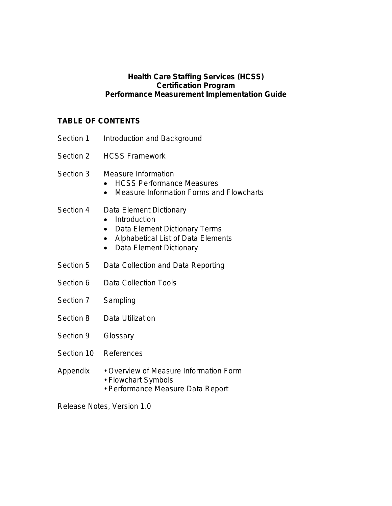### **Health Care Staffing Services (HCSS) Certification Program Performance Measurement Implementation Guide**

# **TABLE OF CONTENTS**

- Section 1 Introduction and Background
- Section 2 HCSS Framework

Section 3 Measure Information

- HCSS Performance Measures
- Measure Information Forms and Flowcharts

### Section 4 Data Element Dictionary

- Introduction
- Data Element Dictionary Terms
- Alphabetical List of Data Elements
- Data Element Dictionary
- Section 5 Data Collection and Data Reporting
- Section 6 Data Collection Tools
- Section 7 Sampling
- Section 8 Data Utilization
- Section 9 Glossary
- Section 10 References
- Appendix Overview of Measure Information Form
	- Flowchart Symbols
	- Performance Measure Data Report

Release Notes, Version 1.0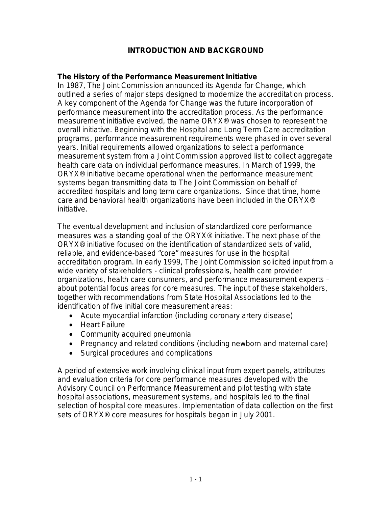# **INTRODUCTION AND BACKGROUND**

# *The History of the Performance Measurement Initiative*

In 1987, The Joint Commission announced its *Agenda for Change*, which outlined a series of major steps designed to modernize the accreditation process. A key component of the *Agenda for Change* was the future incorporation of performance measurement into the accreditation process. As the performance measurement initiative evolved, the name ORYX® was chosen to represent the overall initiative. Beginning with the Hospital and Long Term Care accreditation programs, performance measurement requirements were phased in over several years. Initial requirements allowed organizations to select a performance measurement system from a Joint Commission approved list to collect aggregate health care data on individual performance measures. In March of 1999, the ORYX® initiative became operational when the performance measurement systems began transmitting data to The Joint Commission on behalf of accredited hospitals and long term care organizations. Since that time, home care and behavioral health organizations have been included in the ORYX® initiative.

The eventual development and inclusion of standardized core performance measures was a standing goal of the ORYX® initiative. The next phase of the ORYX® initiative focused on the identification of standardized sets of valid, reliable, and evidence-based "core" measures for use in the hospital accreditation program. In early 1999, The Joint Commission solicited input from a wide variety of stakeholders - clinical professionals, health care provider organizations, health care consumers, and performance measurement experts – about potential focus areas for core measures. The input of these stakeholders, together with recommendations from State Hospital Associations led to the identification of five initial core measurement areas:

- Acute myocardial infarction (including coronary artery disease)
- Heart Failure
- Community acquired pneumonia
- Pregnancy and related conditions (including newborn and maternal care)
- Surgical procedures and complications

A period of extensive work involving clinical input from expert panels, attributes and evaluation criteria for core performance measures developed with the Advisory Council on Performance Measurement and pilot testing with state hospital associations, measurement systems, and hospitals led to the final selection of hospital core measures. Implementation of data collection on the first sets of ORYX® core measures for hospitals began in July 2001.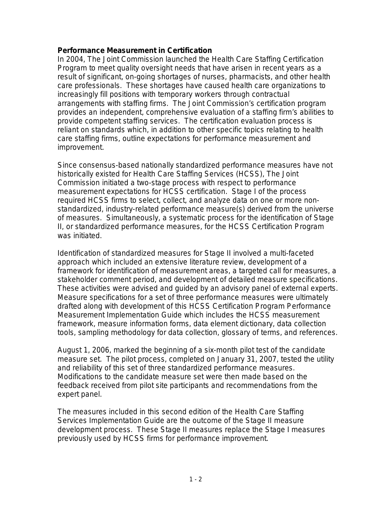#### *Performance Measurement in Certification*

In 2004, The Joint Commission launched the Health Care Staffing Certification Program to meet quality oversight needs that have arisen in recent years as a result of significant, on-going shortages of nurses, pharmacists, and other health care professionals. These shortages have caused health care organizations to increasingly fill positions with temporary workers through contractual arrangements with staffing firms. The Joint Commission's certification program provides an independent, comprehensive evaluation of a staffing firm's abilities to provide competent staffing services. The certification evaluation process is reliant on standards which, in addition to other specific topics relating to health care staffing firms, outline expectations for performance measurement and improvement.

Since consensus-based nationally standardized performance measures have not historically existed for Health Care Staffing Services (HCSS), The Joint Commission initiated a two-stage process with respect to performance measurement expectations for HCSS certification. Stage I of the process required HCSS firms to select, collect, and analyze data on one or more nonstandardized, industry-related performance measure(s) derived from the universe of measures. Simultaneously, a systematic process for the identification of Stage II, or standardized performance measures, for the HCSS Certification Program was initiated.

Identification of standardized measures for Stage II involved a multi-faceted approach which included an extensive literature review, development of a framework for identification of measurement areas, a targeted call for measures, a stakeholder comment period, and development of detailed measure specifications. These activities were advised and guided by an advisory panel of external experts. Measure specifications for a set of three performance measures were ultimately drafted along with development of this HCSS Certification Program Performance Measurement Implementation Guide which includes the HCSS measurement framework, measure information forms, data element dictionary, data collection tools, sampling methodology for data collection, glossary of terms, and references.

August 1, 2006, marked the beginning of a six-month pilot test of the candidate measure set. The pilot process, completed on January 31, 2007, tested the utility and reliability of this set of three standardized performance measures. Modifications to the candidate measure set were then made based on the feedback received from pilot site participants and recommendations from the expert panel.

The measures included in this second edition of the Health Care Staffing Services Implementation Guide are the outcome of the Stage II measure development process. These Stage II measures replace the Stage I measures previously used by HCSS firms for performance improvement.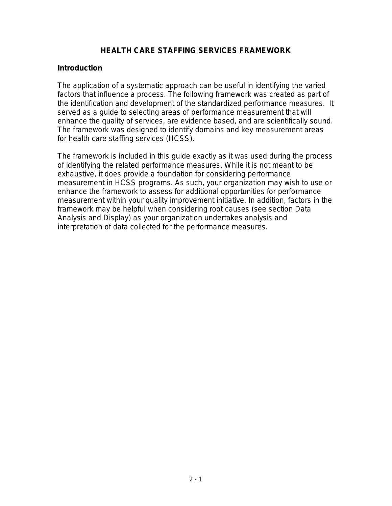# **HEALTH CARE STAFFING SERVICES FRAMEWORK**

#### *Introduction*

The application of a systematic approach can be useful in identifying the varied factors that influence a process. The following framework was created as part of the identification and development of the standardized performance measures. It served as a guide to selecting areas of performance measurement that will enhance the quality of services, are evidence based, and are scientifically sound. The framework was designed to identify domains and key measurement areas for health care staffing services (HCSS).

The framework is included in this guide exactly as it was used during the process of identifying the related performance measures. While it is not meant to be exhaustive, it does provide a foundation for considering performance measurement in HCSS programs. As such, your organization may wish to use or enhance the framework to assess for additional opportunities for performance measurement within your quality improvement initiative. In addition, factors in the framework may be helpful when considering root causes (see section *Data Analysis and Display*) as your organization undertakes analysis and interpretation of data collected for the performance measures.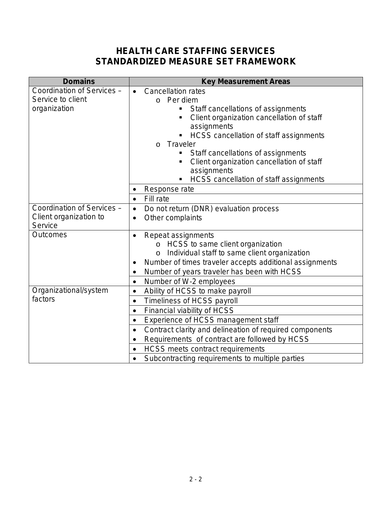# **HEALTH CARE STAFFING SERVICES STANDARDIZED MEASURE SET FRAMEWORK**

| <b>Domains</b>             | <b>Key Measurement Areas</b>                                         |  |  |
|----------------------------|----------------------------------------------------------------------|--|--|
| Coordination of Services - | <b>Cancellation rates</b>                                            |  |  |
| Service to client          | Per diem<br>$\circ$                                                  |  |  |
| organization               | Staff cancellations of assignments                                   |  |  |
|                            | Client organization cancellation of staff                            |  |  |
|                            | assignments                                                          |  |  |
|                            | HCSS cancellation of staff assignments                               |  |  |
|                            | Traveler<br>$\Omega$                                                 |  |  |
|                            | Staff cancellations of assignments                                   |  |  |
|                            | Client organization cancellation of staff<br>assignments             |  |  |
|                            | HCSS cancellation of staff assignments                               |  |  |
|                            | Response rate                                                        |  |  |
|                            | Fill rate<br>$\bullet$                                               |  |  |
| Coordination of Services - | Do not return (DNR) evaluation process<br>$\bullet$                  |  |  |
| Client organization to     | Other complaints                                                     |  |  |
| Service                    |                                                                      |  |  |
| <b>Outcomes</b>            | Repeat assignments<br>$\bullet$                                      |  |  |
|                            | HCSS to same client organization<br>$\circ$                          |  |  |
|                            | Individual staff to same client organization<br>$\circ$              |  |  |
|                            | Number of times traveler accepts additional assignments              |  |  |
|                            | Number of years traveler has been with HCSS                          |  |  |
|                            | Number of W-2 employees<br>$\bullet$                                 |  |  |
| Organizational/system      | Ability of HCSS to make payroll<br>$\bullet$                         |  |  |
| factors                    | Timeliness of HCSS payroll<br>$\bullet$                              |  |  |
|                            | Financial viability of HCSS<br>$\bullet$                             |  |  |
|                            | Experience of HCSS management staff<br>$\bullet$                     |  |  |
|                            | Contract clarity and delineation of required components<br>$\bullet$ |  |  |
|                            | Requirements of contract are followed by HCSS                        |  |  |
|                            | <b>HCSS</b> meets contract requirements                              |  |  |
|                            | Subcontracting requirements to multiple parties                      |  |  |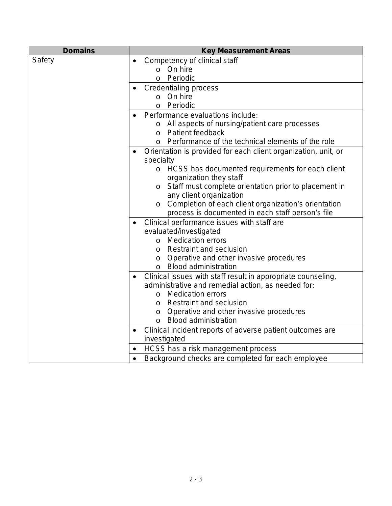| <b>Domains</b>      | <b>Key Measurement Areas</b>                                                                                       |
|---------------------|--------------------------------------------------------------------------------------------------------------------|
| Safety<br>$\bullet$ | Competency of clinical staff                                                                                       |
|                     | $\circ$ On hire                                                                                                    |
|                     | Periodic<br>$\circ$                                                                                                |
|                     | <b>Credentialing process</b>                                                                                       |
|                     | On hire<br>$\Omega$                                                                                                |
|                     | Periodic<br>$\Omega$                                                                                               |
| $\bullet$           | Performance evaluations include:                                                                                   |
|                     | All aspects of nursing/patient care processes<br>$\circ$                                                           |
|                     | <b>Patient feedback</b><br>$\Omega$                                                                                |
|                     | Performance of the technical elements of the role                                                                  |
|                     | Orientation is provided for each client organization, unit, or                                                     |
|                     | specialty                                                                                                          |
|                     | HCSS has documented requirements for each client<br>$\circ$                                                        |
|                     | organization they staff                                                                                            |
|                     | o Staff must complete orientation prior to placement in                                                            |
|                     | any client organization                                                                                            |
|                     | Completion of each client organization's orientation<br>$\circ$                                                    |
|                     | process is documented in each staff person's file                                                                  |
|                     | Clinical performance issues with staff are                                                                         |
|                     | evaluated/investigated                                                                                             |
|                     | <b>Medication errors</b><br>$\Omega$                                                                               |
|                     | <b>Restraint and seclusion</b><br>$\Omega$                                                                         |
|                     | Operative and other invasive procedures<br>$\circ$<br><b>Blood administration</b>                                  |
|                     | $\circ$                                                                                                            |
|                     | Clinical issues with staff result in appropriate counseling,<br>administrative and remedial action, as needed for: |
|                     | <b>Medication errors</b><br>$\Omega$                                                                               |
|                     | <b>Restraint and seclusion</b><br>O                                                                                |
|                     | Operative and other invasive procedures<br>O                                                                       |
|                     | <b>Blood administration</b><br>$\circ$                                                                             |
| $\bullet$           | Clinical incident reports of adverse patient outcomes are                                                          |
|                     | investigated                                                                                                       |
|                     | HCSS has a risk management process                                                                                 |
| $\bullet$           | Background checks are completed for each employee                                                                  |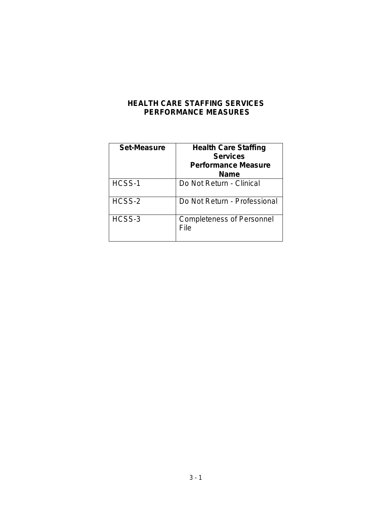# **HEALTH CARE STAFFING SERVICES PERFORMANCE MEASURES**

| <b>Set-Measure</b> | <b>Health Care Staffing</b><br><b>Services</b><br><b>Performance Measure</b><br><b>Name</b> |
|--------------------|---------------------------------------------------------------------------------------------|
| HCSS-1             | Do Not Return - Clinical                                                                    |
| HCSS-2             | Do Not Return - Professional                                                                |
| HCSS-3             | <b>Completeness of Personnel</b><br>File                                                    |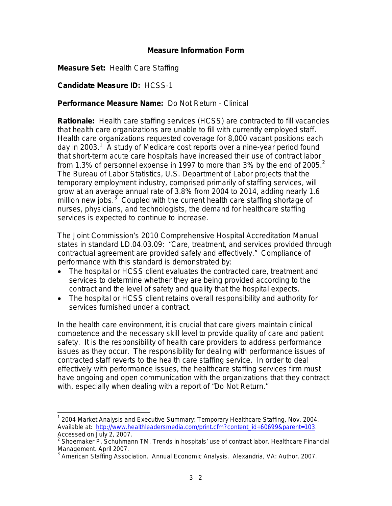#### **Measure Information Form**

**Measure Set:** Health Care Staffing

# **Candidate Measure ID:** HCSS-1

#### **Performance Measure Name:** Do Not Return - Clinical

**Rationale:** Health care staffing services (HCSS) are contracted to fill vacancies that health care organizations are unable to fill with currently employed staff. Health care organizations requested coverage for 8,000 vacant positions each day in 2003.<sup>[1](#page-9-0)</sup> A study of Medicare cost reports over a nine-year period found that short-term acute care hospitals have increased their use of contract labor from 1.3% of personnel expense in 1997 to more than 3% by the end of [2](#page-9-1)005.<sup>2</sup> The Bureau of Labor Statistics, U.S. Department of Labor projects that the temporary employment industry, comprised primarily of staffing services, will grow at an average annual rate of 3.8% from 2004 to 2014, adding nearly 1.6 million new jobs. $3$  Coupled with the current health care staffing shortage of nurses, physicians, and technologists, the demand for healthcare staffing services is expected to continue to increase.

The Joint Commission's 2010 Comprehensive Hospital Accreditation Manual states in standard LD.04.03.09: "Care, treatment, and services provided through contractual agreement are provided safely and effectively." Compliance of performance with this standard is demonstrated by:

- The hospital or HCSS client evaluates the contracted care, treatment and services to determine whether they are being provided according to the contract and the level of safety and quality that the hospital expects.
- The hospital or HCSS client retains overall responsibility and authority for services furnished under a contract.

In the health care environment, it is crucial that care givers maintain clinical competence and the necessary skill level to provide quality of care and patient safety. It is the responsibility of health care providers to address performance issues as they occur. The responsibility for dealing with performance issues of contracted staff reverts to the health care staffing service. In order to deal effectively with performance issues, the healthcare staffing services firm must have ongoing and open communication with the organizations that they contract with, especially when dealing with a report of "Do Not Return."

<span id="page-9-0"></span> $1$  2004 Market Analysis and Executive Summary: Temporary Healthcare Staffing, Nov. 2004. Available at: [http://www.healthleadersmedia.com/print.cfm?content\\_id+60699&parent=103.](http://www.healthleadersmedia.com/print.cfm?content_id+60699&parent=103) Accessed on July 2, 2007.

<span id="page-9-1"></span><sup>2</sup> Shoemaker P, Schuhmann TM. Trends in hospitals' use of contract labor. *Healthcare Financial Management.* April 2007.<br><sup>3</sup> American Staffing Association. Annual Economic Analysis. Alexandria, VA: Author. 2007.

<span id="page-9-2"></span>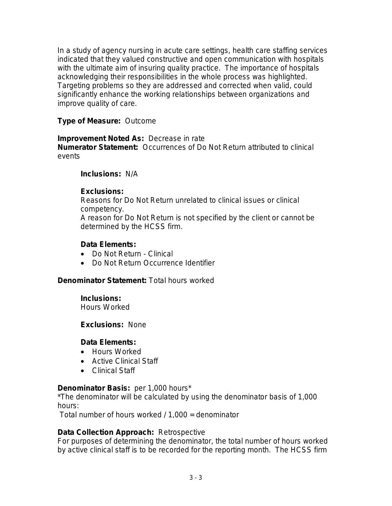In a study of agency nursing in acute care settings, health care staffing services indicated that they valued constructive and open communication with hospitals with the ultimate aim of insuring quality practice. The importance of hospitals acknowledging their responsibilities in the whole process was highlighted. Targeting problems so they are addressed and corrected when valid, could significantly enhance the working relationships between organizations and improve quality of care.

# **Type of Measure:** Outcome

### **Improvement Noted As:** Decrease in rate

**Numerator Statement:** Occurrences of Do Not Return attributed to clinical events

### **Inclusions:** N/A

### **Exclusions:**

Reasons for Do Not Return unrelated to clinical issues or clinical competency.

A reason for Do Not Return is not specified by the client or cannot be determined by the HCSS firm.

### **Data Elements:**

- Do Not Return Clinical
- Do Not Return Occurrence Identifier

#### **Denominator Statement:** Total hours worked

# **Inclusions:**

Hours Worked

#### **Exclusions:** None

#### **Data Elements:**

- Hours Worked
- Active Clinical Staff
- Clinical Staff

#### **Denominator Basis:** per 1,000 hours\*

\*The denominator will be calculated by using the denominator basis of 1,000 hours:

Total number of hours worked / 1,000 = denominator

# **Data Collection Approach:** Retrospective

For purposes of determining the denominator, the total number of hours worked by active clinical staff is to be recorded for the reporting month. The HCSS firm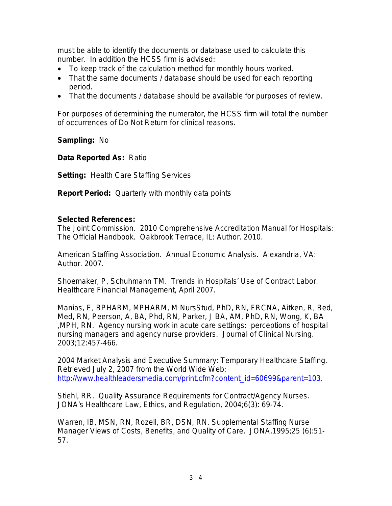must be able to identify the documents or database used to calculate this number. In addition the HCSS firm is advised:

- To keep track of the calculation method for monthly hours worked.
- That the same documents / database should be used for each reporting period.
- That the documents / database should be available for purposes of review.

For purposes of determining the numerator, the HCSS firm will total the number of occurrences of Do Not Return for clinical reasons.

**Sampling:** No

**Data Reported As:** Ratio

**Setting:** Health Care Staffing Services

**Report Period:** Quarterly with monthly data points

#### **Selected References:**

The Joint Commission. *2010 Comprehensive Accreditation Manual for Hospitals: The Official Handbook.* Oakbrook Terrace, IL: Author. 2010.

American Staffing Association. *Annual Economic Analysis.* Alexandria, VA: Author. 2007.

Shoemaker, P, Schuhmann TM. Trends in Hospitals' Use of Contract Labor. *Healthcare Financial Management,* April 2007.

Manias, E, BPHARM, MPHARM, M NursStud, PhD, RN, FRCNA, Aitken, R, Bed, Med, RN, Peerson, A, BA, Phd, RN, Parker, J BA, AM, PhD, RN, Wong, K, BA ,MPH, RN. Agency nursing work in acute care settings: perceptions of hospital nursing managers and agency nurse providers. *Journal of Clinical Nursing.*  2003;12:457-466.

2004 Market Analysis and Executive Summary: Temporary Healthcare Staffing. Retrieved July 2, 2007 from the World Wide Web: [http://www.healthleadersmedia.com/print.cfm?content\\_id=60699&parent=103.](http://www.healthleadersmedia.com/print.cfm?content_id=60699&parent=103)

Stiehl, RR. Quality Assurance Requirements for Contract/Agency Nurses. *JONA's Healthcare Law, Ethics, and Regulation,* 2004;6(3): 69-74.

Warren, IB, MSN, RN, Rozell, BR, DSN, RN. Supplemental Staffing Nurse Manager Views of Costs, Benefits, and Quality of Care. *JONA.*1995;25 (6):51- 57.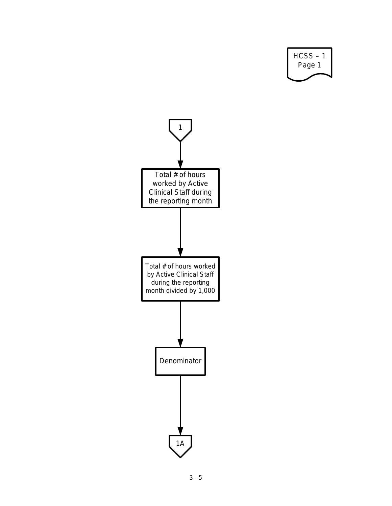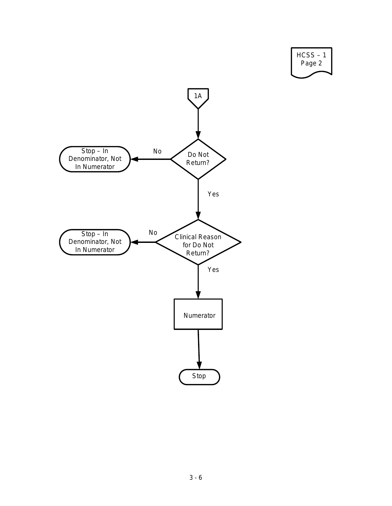

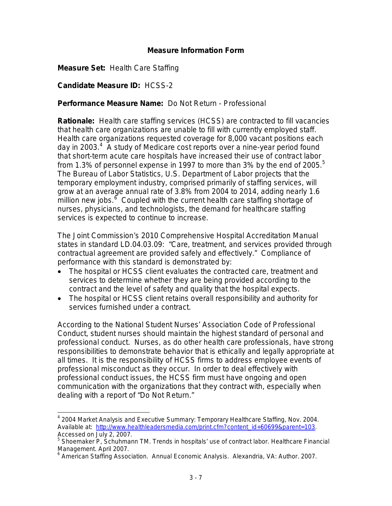#### **Measure Information Form**

**Measure Set:** Health Care Staffing

# **Candidate Measure ID:** HCSS-2

#### **Performance Measure Name:** Do Not Return - Professional

**Rationale:** Health care staffing services (HCSS) are contracted to fill vacancies that health care organizations are unable to fill with currently employed staff. Health care organizations requested coverage for 8,000 vacant positions each day in 2003.<sup>[4](#page-14-0)</sup> A study of Medicare cost reports over a nine-year period found that short-term acute care hospitals have increased their use of contract labor from 1.3% of personnel expense in 1997 to more than 3% by the end of 200[5](#page-14-1). $^5$ The Bureau of Labor Statistics, U.S. Department of Labor projects that the temporary employment industry, comprised primarily of staffing services, will grow at an average annual rate of 3.8% from 2004 to 2014, adding nearly 1.6 million new jobs.<sup>[6](#page-14-2)</sup> Coupled with the current health care staffing shortage of nurses, physicians, and technologists, the demand for healthcare staffing services is expected to continue to increase.

The Joint Commission's 2010 Comprehensive Hospital Accreditation Manual states in standard LD.04.03.09: "Care, treatment, and services provided through contractual agreement are provided safely and effectively." Compliance of performance with this standard is demonstrated by:

- The hospital or HCSS client evaluates the contracted care, treatment and services to determine whether they are being provided according to the contract and the level of safety and quality that the hospital expects.
- The hospital or HCSS client retains overall responsibility and authority for services furnished under a contract.

According to the National Student Nurses' Association *Code of Professional Conduct*, student nurses should maintain the highest standard of personal and professional conduct. Nurses, as do other health care professionals, have strong responsibilities to demonstrate behavior that is ethically and legally appropriate at all times. It is the responsibility of HCSS firms to address employee events of professional misconduct as they occur. In order to deal effectively with professional conduct issues, the HCSS firm must have ongoing and open communication with the organizations that they contract with, especially when dealing with a report of "Do Not Return."

<span id="page-14-0"></span><sup>&</sup>lt;sup>4</sup> 2004 Market Analysis and Executive Summary: Temporary Healthcare Staffing, Nov. 2004. Available at: [http://www.healthleadersmedia.com/print.cfm?content\\_id+60699&parent=103.](http://www.healthleadersmedia.com/print.cfm?content_id+60699&parent=103) Accessed on July 2, 2007.

<span id="page-14-1"></span><sup>5</sup> Shoemaker P, Schuhmann TM. Trends in hospitals' use of contract labor. *Healthcare Financial Management.* April 2007.<br><sup>6</sup> American Staffing Association. Annual Economic Analysis. Alexandria, VA: Author. 2007.

<span id="page-14-2"></span>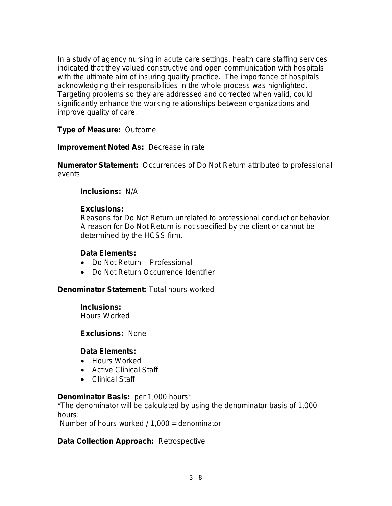In a study of agency nursing in acute care settings, health care staffing services indicated that they valued constructive and open communication with hospitals with the ultimate aim of insuring quality practice. The importance of hospitals acknowledging their responsibilities in the whole process was highlighted. Targeting problems so they are addressed and corrected when valid, could significantly enhance the working relationships between organizations and improve quality of care.

**Type of Measure:** Outcome

#### **Improvement Noted As:** Decrease in rate

**Numerator Statement:** Occurrences of Do Not Return attributed to professional events

#### **Inclusions:** N/A

#### **Exclusions:**

Reasons for Do Not Return unrelated to professional conduct or behavior. A reason for Do Not Return is not specified by the client or cannot be determined by the HCSS firm.

#### **Data Elements:**

- Do Not Return Professional
- Do Not Return Occurrence Identifier

#### **Denominator Statement:** Total hours worked

**Inclusions:**  Hours Worked

# **Exclusions:** None

#### **Data Elements:**

- Hours Worked
- Active Clinical Staff
- Clinical Staff

#### **Denominator Basis:** per 1,000 hours\*

\*The denominator will be calculated by using the denominator basis of 1,000 hours:

Number of hours worked / 1,000 = denominator

# **Data Collection Approach:** Retrospective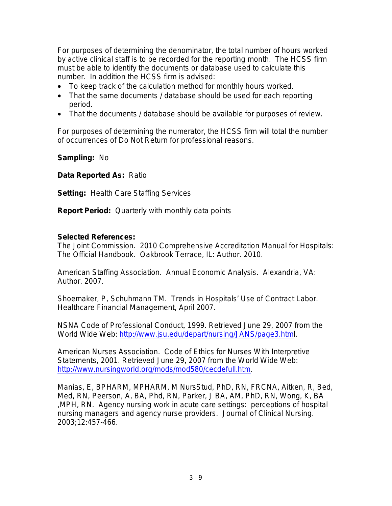For purposes of determining the denominator, the total number of hours worked by active clinical staff is to be recorded for the reporting month. The HCSS firm must be able to identify the documents or database used to calculate this number. In addition the HCSS firm is advised:

- To keep track of the calculation method for monthly hours worked.
- That the same documents / database should be used for each reporting period.
- That the documents / database should be available for purposes of review.

For purposes of determining the numerator, the HCSS firm will total the number of occurrences of Do Not Return for professional reasons.

**Sampling:** No

**Data Reported As:** Ratio

**Setting:** Health Care Staffing Services

**Report Period:** Quarterly with monthly data points

#### **Selected References:**

The Joint Commission. *2010 Comprehensive Accreditation Manual for Hospitals: The Official Handbook.* Oakbrook Terrace, IL: Author. 2010.

American Staffing Association. *Annual Economic Analysis.* Alexandria, VA: Author. 2007.

Shoemaker, P, Schuhmann TM. Trends in Hospitals' Use of Contract Labor. *Healthcare Financial Management,* April 2007.

NSNA Code of Professional Conduct, 1999. Retrieved June 29, 2007 from the World Wide Web: [http://www.jsu.edu/depart/nursing/JANS/page3.html](http://www.jsu.edu/depart/nursing/JANS/page3.htm).

American Nurses Association. Code of Ethics for Nurses With Interpretive Statements, 2001. Retrieved June 29, 2007 from the World Wide Web: [http://www.nursingworld.org/mods/mod580/cecdefull.htm.](http://www.nursingworld.org/mods/mod580/cecdefull.htm)

Manias, E, BPHARM, MPHARM, M NursStud, PhD, RN, FRCNA, Aitken, R, Bed, Med, RN, Peerson, A, BA, Phd, RN, Parker, J BA, AM, PhD, RN, Wong, K, BA ,MPH, RN. Agency nursing work in acute care settings: perceptions of hospital nursing managers and agency nurse providers. *Journal of Clinical Nursing.*  2003;12:457-466.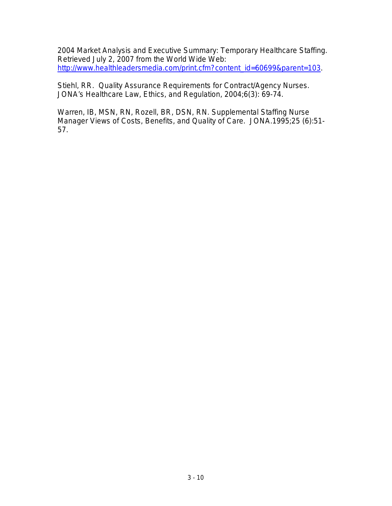2004 Market Analysis and Executive Summary: Temporary Healthcare Staffing. Retrieved July 2, 2007 from the World Wide Web: [http://www.healthleadersmedia.com/print.cfm?content\\_id=60699&parent=103.](http://www.healthleadersmedia.com/print.cfm?content_id=60699&parent=103)

Stiehl, RR. Quality Assurance Requirements for Contract/Agency Nurses. *JONA's Healthcare Law, Ethics, and Regulation,* 2004;6(3): 69-74.

Warren, IB, MSN, RN, Rozell, BR, DSN, RN. Supplemental Staffing Nurse Manager Views of Costs, Benefits, and Quality of Care. *JONA.*1995;25 (6):51- 57.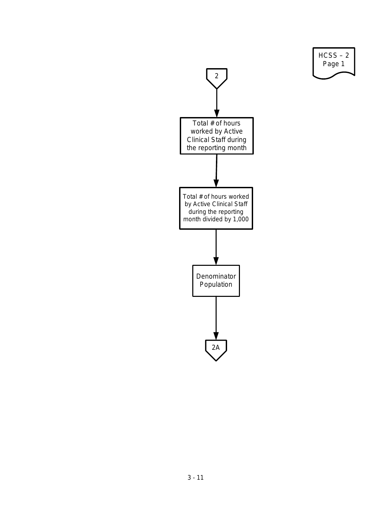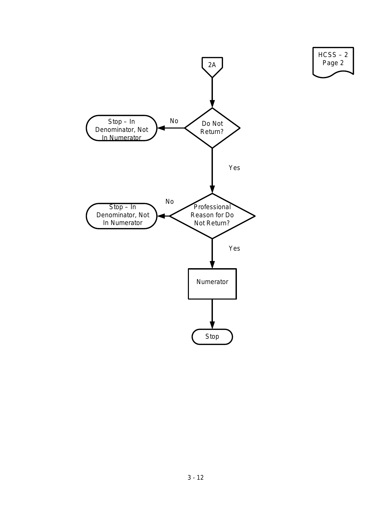

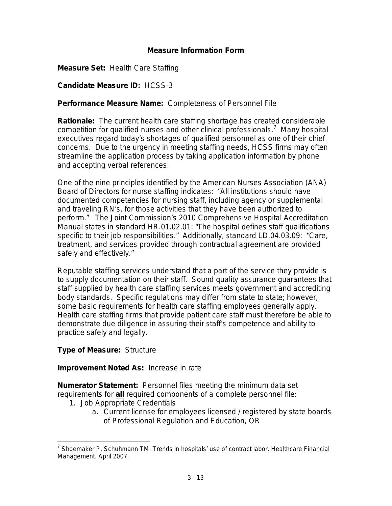# **Measure Information Form**

**Measure Set:** Health Care Staffing

# **Candidate Measure ID:** HCSS-3

#### **Performance Measure Name:** Completeness of Personnel File

**Rationale:** The current health care staffing shortage has created considerable competition for qualified nurses and other clinical professionals.<sup>[7](#page-20-0)</sup> Many hospital executives regard today's shortages of qualified personnel as one of their chief concerns. Due to the urgency in meeting staffing needs, HCSS firms may often streamline the application process by taking application information by phone and accepting verbal references.

One of the nine principles identified by the American Nurses Association (ANA) Board of Directors for nurse staffing indicates: "All institutions should have documented competencies for nursing staff, including agency or supplemental and traveling RN's, for those activities that they have been authorized to perform." The Joint Commission's 2010 Comprehensive Hospital Accreditation Manual states in standard HR.01.02.01: "The hospital defines staff qualifications specific to their job responsibilities." Additionally, standard LD.04.03.09: "Care, treatment, and services provided through contractual agreement are provided safely and effectively."

Reputable staffing services understand that a part of the service they provide is to supply documentation on their staff. Sound quality assurance guarantees that staff supplied by health care staffing services meets government and accrediting body standards. Specific regulations may differ from state to state; however, some basic requirements for health care staffing employees generally apply. Health care staffing firms that provide patient care staff must therefore be able to demonstrate due diligence in assuring their staff's competence and ability to practice safely and legally.

# **Type of Measure:** Structure

#### **Improvement Noted As:** Increase in rate

**Numerator Statement:** Personnel files meeting the minimum data set requirements for **all** required components of a complete personnel file:

- 1. Job Appropriate Credentials
	- a. Current license for employees licensed / registered by state boards of Professional Regulation and Education, OR

<span id="page-20-0"></span> <sup>7</sup> Shoemaker P, Schuhmann TM. Trends in hospitals' use of contract labor. *Healthcare Financial Management.* April 2007.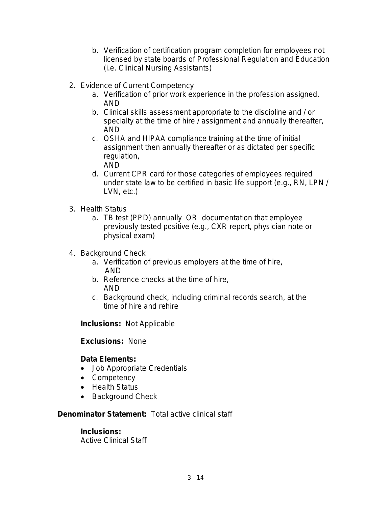- b. Verification of certification program completion for employees not licensed by state boards of Professional Regulation and Education (i.e. Clinical Nursing Assistants)
- 2. Evidence of Current Competency
	- a. Verification of prior work experience in the profession assigned, AND
	- b. Clinical skills assessment appropriate to the discipline and / or specialty at the time of hire / assignment and annually thereafter, AND
	- c. OSHA and HIPAA compliance training at the time of initial assignment then annually thereafter or as dictated per specific regulation, AND
	- d. Current CPR card for those categories of employees required under state law to be certified in basic life support (e.g., RN, LPN / LVN, etc.)
- 3. Health Status
	- a. TB test (PPD) annually OR documentation that employee previously tested positive (e.g., CXR report, physician note or physical exam)
- 4. Background Check
	- a. Verification of previous employers at the time of hire, AND
	- b. Reference checks at the time of hire, AND
	- c. Background check, including criminal records search, at the time of hire and rehire

**Inclusions:** Not Applicable

#### **Exclusions:** None

#### **Data Elements:**

- Job Appropriate Credentials
- Competency
- Health Status
- Background Check

#### **Denominator Statement: Total active clinical staff**

# **Inclusions:**

Active Clinical Staff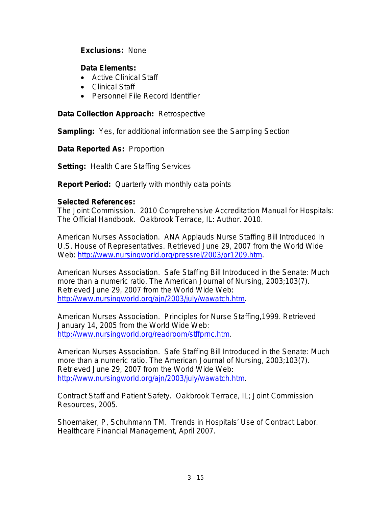#### **Exclusions:** None

#### **Data Elements:**

- Active Clinical Staff
- Clinical Staff
- Personnel File Record Identifier

#### **Data Collection Approach:** Retrospective

**Sampling:** Yes, for additional information see the Sampling Section

**Data Reported As:** Proportion

**Setting:** Health Care Staffing Services

**Report Period:** Quarterly with monthly data points

#### **Selected References:**

The Joint Commission. *2010 Comprehensive Accreditation Manual for Hospitals: The Official Handbook.* Oakbrook Terrace, IL: Author. 2010.

American Nurses Association. ANA Applauds Nurse Staffing Bill Introduced In U.S. House of Representatives. Retrieved June 29, 2007 from the World Wide Web: [http://www.nursingworld.org/pressrel/2003/pr1209.htm.](http://www.nursingworld.org/pressrel/2003/pr1209.htm)

American Nurses Association. Safe Staffing Bill Introduced in the Senate: Much more than a numeric ratio. *The American Journal of Nursing,* 2003;103(7). Retrieved June 29, 2007 from the World Wide Web: [http://www.nursingworld.org/ajn/2003/july/wawatch.htm.](http://www.nursingworld.org/ajn/2003/july/wawatch.htm)

American Nurses Association. Principles for Nurse Staffing,1999. Retrieved January 14, 2005 from the World Wide Web: [http://www.nursingworld.org/readroom/stffprnc.htm.](http://www.nursingworld.org/readroom/stffprnc.htm)

American Nurses Association. Safe Staffing Bill Introduced in the Senate: Much more than a numeric ratio. *The American Journal of Nursing,* 2003;103(7). Retrieved June 29, 2007 from the World Wide Web: [http://www.nursingworld.org/ajn/2003/july/wawatch.htm.](http://www.nursingworld.org/ajn/2003/july/wawatch.htm)

Contract Staff and Patient Safety. Oakbrook Terrace, IL; Joint Commission Resources, 2005.

Shoemaker, P, Schuhmann TM. Trends in Hospitals' Use of Contract Labor. *Healthcare Financial Management,* April 2007.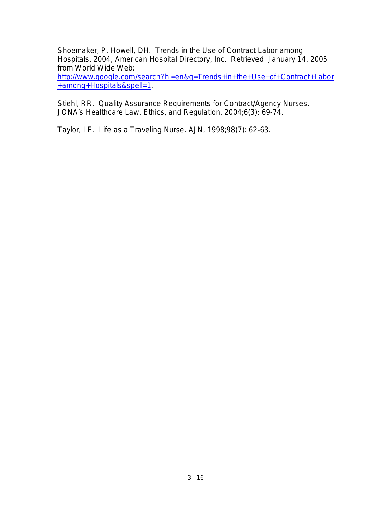Shoemaker, P, Howell, DH. Trends in the Use of Contract Labor among Hospitals, 2004, American Hospital Directory, Inc. Retrieved January 14, 2005 from World Wide Web:

[http://www.google.com/search?hl=en&q=Trends+in+the+Use+of+Contract+Labor](http://www.google.com/search?hl=en&q=Trends+in+the+Use+of+Contract+Labor+among+Hospitals&spell=1) [+among+Hospitals&spell=1.](http://www.google.com/search?hl=en&q=Trends+in+the+Use+of+Contract+Labor+among+Hospitals&spell=1)

Stiehl, RR. Quality Assurance Requirements for Contract/Agency Nurses. *JONA's Healthcare Law, Ethics, and Regulation,* 2004;6(3): 69-74.

Taylor, LE. Life as a Traveling Nurse. *AJN,* 1998;98(7): 62-63.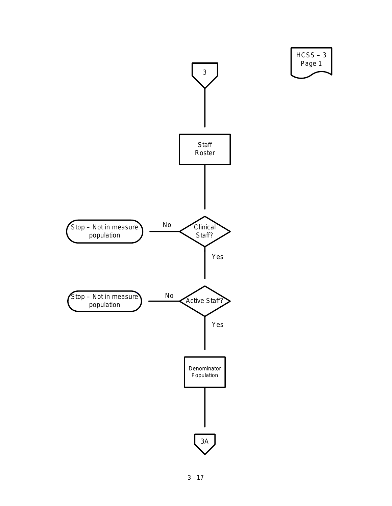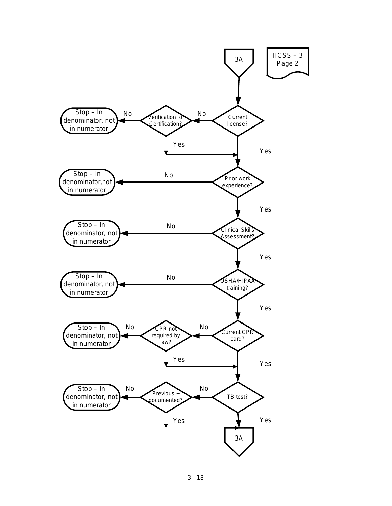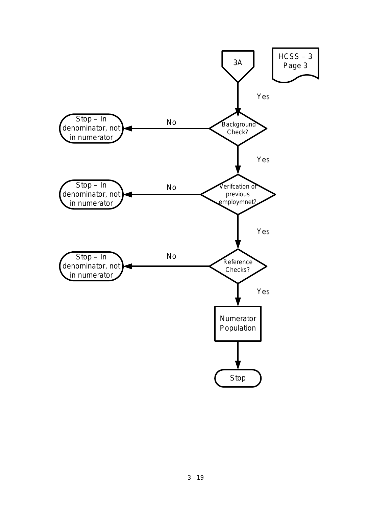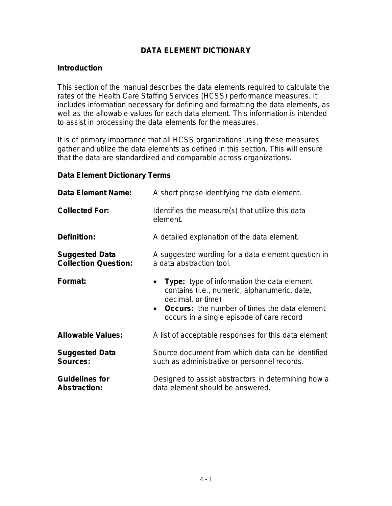# **DATA ELEMENT DICTIONARY**

#### **Introduction**

This section of the manual describes the data elements required to calculate the rates of the Health Care Staffing Services (HCSS) performance measures. It includes information necessary for defining and formatting the data elements, as well as the allowable values for each data element. This information is intended to assist in processing the data elements for the measures.

It is of primary importance that all HCSS organizations using these measures gather and utilize the data elements as defined in this section. This will ensure that the data are standardized and comparable across organizations.

#### **Data Element Dictionary Terms**

| <b>Data Element Name:</b>                            | A short phrase identifying the data element.                                                                                                                                                                                            |
|------------------------------------------------------|-----------------------------------------------------------------------------------------------------------------------------------------------------------------------------------------------------------------------------------------|
| <b>Collected For:</b>                                | Identifies the measure(s) that utilize this data<br>element.                                                                                                                                                                            |
| <b>Definition:</b>                                   | A detailed explanation of the data element.                                                                                                                                                                                             |
| <b>Suggested Data</b><br><b>Collection Question:</b> | A suggested wording for a data element question in<br>a data abstraction tool.                                                                                                                                                          |
| <b>Format:</b>                                       | <b>Type:</b> type of information the data element<br>contains (i.e., numeric, alphanumeric, date,<br>decimal, or time)<br><b>Occurs:</b> the number of times the data element<br>$\bullet$<br>occurs in a single episode of care record |
| <b>Allowable Values:</b>                             | A list of acceptable responses for this data element                                                                                                                                                                                    |
| <b>Suggested Data</b><br>Sources:                    | Source document from which data can be identified<br>such as administrative or personnel records.                                                                                                                                       |
| <b>Guidelines for</b><br><b>Abstraction:</b>         | Designed to assist abstractors in determining how a<br>data element should be answered.                                                                                                                                                 |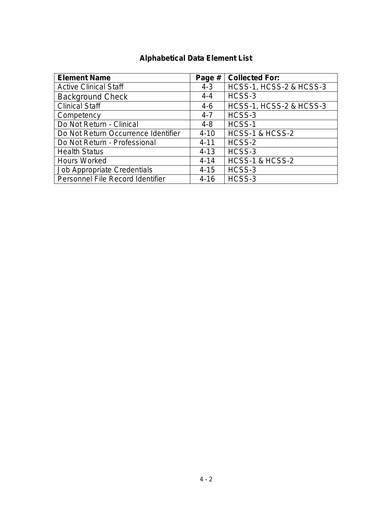# **Alphabetical Data Element List**

| <b>Element Name</b>                 | Page #   | <b>Collected For:</b>      |
|-------------------------------------|----------|----------------------------|
| <b>Active Clinical Staff</b>        | $4 - 3$  | HCSS-1, HCSS-2 & HCSS-3    |
| <b>Background Check</b>             | $4 - 4$  | HCSS-3                     |
| <b>Clinical Staff</b>               | $4 - 6$  | HCSS-1, HCSS-2 & HCSS-3    |
| Competency                          | $4 - 7$  | HCSS-3                     |
| Do Not Return - Clinical            | $4 - 8$  | HCSS-1                     |
| Do Not Return Occurrence Identifier | $4 - 10$ | <b>HCSS-1 &amp; HCSS-2</b> |
| Do Not Return - Professional        | $4 - 11$ | HCSS-2                     |
| <b>Health Status</b>                | $4 - 13$ | HCSS-3                     |
| <b>Hours Worked</b>                 | $4 - 14$ | <b>HCSS-1 &amp; HCSS-2</b> |
| <b>Job Appropriate Credentials</b>  | $4 - 15$ | HCSS-3                     |
| Personnel File Record Identifier    | $4 - 16$ | HCSS-3                     |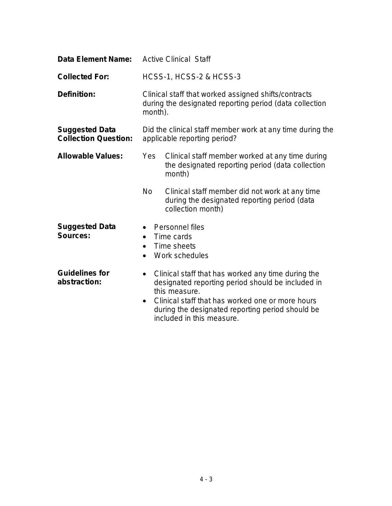| <b>Data Element Name:</b>                            | <b>Active Clinical Staff</b>                                                                                               |                                                                                                                                                                                                                                                               |
|------------------------------------------------------|----------------------------------------------------------------------------------------------------------------------------|---------------------------------------------------------------------------------------------------------------------------------------------------------------------------------------------------------------------------------------------------------------|
| <b>Collected For:</b>                                | HCSS-1, HCSS-2 & HCSS-3                                                                                                    |                                                                                                                                                                                                                                                               |
| <b>Definition:</b>                                   | Clinical staff that worked assigned shifts/contracts<br>during the designated reporting period (data collection<br>month). |                                                                                                                                                                                                                                                               |
| <b>Suggested Data</b><br><b>Collection Question:</b> | Did the clinical staff member work at any time during the<br>applicable reporting period?                                  |                                                                                                                                                                                                                                                               |
| <b>Allowable Values:</b>                             | Yes                                                                                                                        | Clinical staff member worked at any time during<br>the designated reporting period (data collection<br>month)                                                                                                                                                 |
|                                                      | No                                                                                                                         | Clinical staff member did not work at any time<br>during the designated reporting period (data<br>collection month)                                                                                                                                           |
| <b>Suggested Data</b><br>Sources:                    | $\bullet$<br>$\bullet$<br>$\bullet$<br>$\bullet$                                                                           | Personnel files<br>Time cards<br>Time sheets<br>Work schedules                                                                                                                                                                                                |
| <b>Guidelines for</b><br>abstraction:                | $\bullet$<br>$\bullet$                                                                                                     | Clinical staff that has worked any time during the<br>designated reporting period should be included in<br>this measure.<br>Clinical staff that has worked one or more hours<br>during the designated reporting period should be<br>included in this measure. |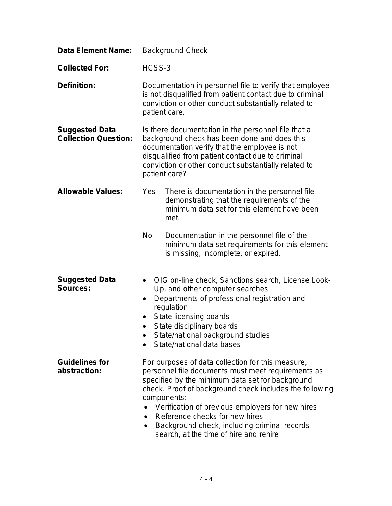| <b>Data Element Name:</b>                            | <b>Background Check</b>                          |                                                                                                                                                                                                                                                                                                                                                                                                                       |  |
|------------------------------------------------------|--------------------------------------------------|-----------------------------------------------------------------------------------------------------------------------------------------------------------------------------------------------------------------------------------------------------------------------------------------------------------------------------------------------------------------------------------------------------------------------|--|
| <b>Collected For:</b>                                | HCSS-3                                           |                                                                                                                                                                                                                                                                                                                                                                                                                       |  |
| <b>Definition:</b>                                   |                                                  | Documentation in personnel file to verify that employee<br>is not disqualified from patient contact due to criminal<br>conviction or other conduct substantially related to<br>patient care.                                                                                                                                                                                                                          |  |
| <b>Suggested Data</b><br><b>Collection Question:</b> |                                                  | Is there documentation in the personnel file that a<br>background check has been done and does this<br>documentation verify that the employee is not<br>disqualified from patient contact due to criminal<br>conviction or other conduct substantially related to<br>patient care?                                                                                                                                    |  |
| <b>Allowable Values:</b>                             | Yes                                              | There is documentation in the personnel file<br>demonstrating that the requirements of the<br>minimum data set for this element have been<br>met.                                                                                                                                                                                                                                                                     |  |
|                                                      | <b>No</b>                                        | Documentation in the personnel file of the<br>minimum data set requirements for this element<br>is missing, incomplete, or expired.                                                                                                                                                                                                                                                                                   |  |
| <b>Suggested Data</b><br>Sources:                    | $\bullet$<br>$\bullet$<br>$\bullet$<br>$\bullet$ | OIG on-line check, Sanctions search, License Look-<br>Up, and other computer searches<br>Departments of professional registration and<br>regulation<br>State licensing boards<br>State disciplinary boards<br>State/national background studies<br>State/national data bases                                                                                                                                          |  |
| <b>Guidelines for</b><br>abstraction:                | $\bullet$                                        | For purposes of data collection for this measure,<br>personnel file documents must meet requirements as<br>specified by the minimum data set for background<br>check. Proof of background check includes the following<br>components:<br>Verification of previous employers for new hires<br>Reference checks for new hires<br>Background check, including criminal records<br>search, at the time of hire and rehire |  |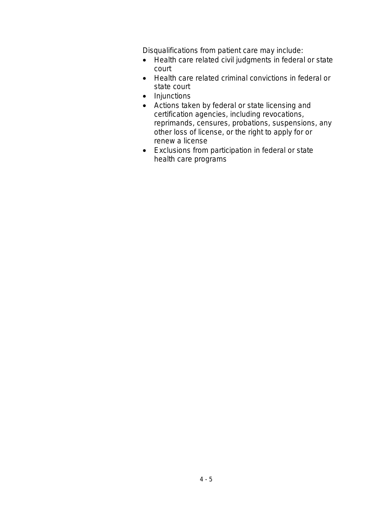Disqualifications from patient care may include:

- Health care related civil judgments in federal or state court
- Health care related criminal convictions in federal or state court
- Injunctions
- Actions taken by federal or state licensing and certification agencies, including revocations, reprimands, censures, probations, suspensions, any other loss of license, or the right to apply for or renew a license
- Exclusions from participation in federal or state health care programs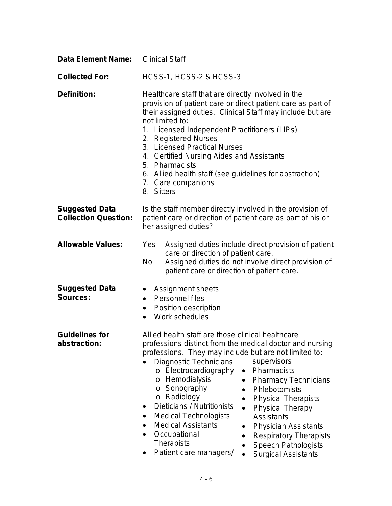| <b>Data Element Name:</b>                            | <b>Clinical Staff</b>                                                                                                                                                                                                                                                                                                                                                                                                                                                                                                                                                                                                                                                                                                                                                                                         |  |
|------------------------------------------------------|---------------------------------------------------------------------------------------------------------------------------------------------------------------------------------------------------------------------------------------------------------------------------------------------------------------------------------------------------------------------------------------------------------------------------------------------------------------------------------------------------------------------------------------------------------------------------------------------------------------------------------------------------------------------------------------------------------------------------------------------------------------------------------------------------------------|--|
| <b>Collected For:</b>                                | HCSS-1, HCSS-2 & HCSS-3                                                                                                                                                                                                                                                                                                                                                                                                                                                                                                                                                                                                                                                                                                                                                                                       |  |
| <b>Definition:</b>                                   | Healthcare staff that are directly involved in the<br>provision of patient care or direct patient care as part of<br>their assigned duties. Clinical Staff may include but are<br>not limited to:<br>1. Licensed Independent Practitioners (LIPs)<br>2. Registered Nurses<br>3. Licensed Practical Nurses<br>4. Certified Nursing Aides and Assistants<br>5. Pharmacists<br>6. Allied health staff (see guidelines for abstraction)<br>7. Care companions<br>8. Sitters                                                                                                                                                                                                                                                                                                                                       |  |
| <b>Suggested Data</b><br><b>Collection Question:</b> | Is the staff member directly involved in the provision of<br>patient care or direction of patient care as part of his or<br>her assigned duties?                                                                                                                                                                                                                                                                                                                                                                                                                                                                                                                                                                                                                                                              |  |
| <b>Allowable Values:</b>                             | Assigned duties include direct provision of patient<br>Yes<br>care or direction of patient care.<br>Assigned duties do not involve direct provision of<br><b>No</b><br>patient care or direction of patient care.                                                                                                                                                                                                                                                                                                                                                                                                                                                                                                                                                                                             |  |
| <b>Suggested Data</b><br><b>Sources:</b>             | Assignment sheets<br>Personnel files<br>$\bullet$<br>Position description<br>$\bullet$<br>Work schedules<br>$\bullet$                                                                                                                                                                                                                                                                                                                                                                                                                                                                                                                                                                                                                                                                                         |  |
| <b>Guidelines for</b><br>abstraction:                | Allied health staff are those clinical healthcare<br>professions distinct from the medical doctor and nursing<br>professions. They may include but are not limited to:<br>supervisors<br><b>Diagnostic Technicians</b><br>o Electrocardiography<br>Pharmacists<br>$\bullet$<br>Hemodialysis<br><b>Pharmacy Technicians</b><br>O<br>Sonography<br>Phlebotomists<br>O<br>$\bullet$<br>Radiology<br>O<br><b>Physical Therapists</b><br>Dieticians / Nutritionists<br><b>Physical Therapy</b><br>$\bullet$<br><b>Medical Technologists</b><br><b>Assistants</b><br><b>Medical Assistants</b><br><b>Physician Assistants</b><br>$\bullet$<br>Occupational<br><b>Respiratory Therapists</b><br>$\bullet$<br><b>Therapists</b><br><b>Speech Pathologists</b><br>Patient care managers/<br><b>Surgical Assistants</b> |  |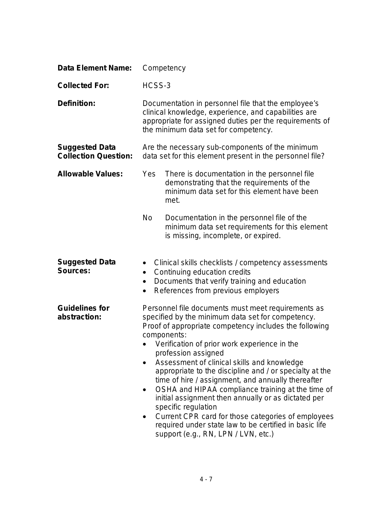| <b>Data Element Name:</b>                            | Competency                                                                                                                                                                                                                                                                                                                                                                                                                                                                                                                                                                                                                                                                                                        |  |
|------------------------------------------------------|-------------------------------------------------------------------------------------------------------------------------------------------------------------------------------------------------------------------------------------------------------------------------------------------------------------------------------------------------------------------------------------------------------------------------------------------------------------------------------------------------------------------------------------------------------------------------------------------------------------------------------------------------------------------------------------------------------------------|--|
| <b>Collected For:</b>                                | HCSS-3                                                                                                                                                                                                                                                                                                                                                                                                                                                                                                                                                                                                                                                                                                            |  |
| <b>Definition:</b>                                   | Documentation in personnel file that the employee's<br>clinical knowledge, experience, and capabilities are<br>appropriate for assigned duties per the requirements of<br>the minimum data set for competency.                                                                                                                                                                                                                                                                                                                                                                                                                                                                                                    |  |
| <b>Suggested Data</b><br><b>Collection Question:</b> | Are the necessary sub-components of the minimum<br>data set for this element present in the personnel file?                                                                                                                                                                                                                                                                                                                                                                                                                                                                                                                                                                                                       |  |
| <b>Allowable Values:</b>                             | Yes<br>There is documentation in the personnel file<br>demonstrating that the requirements of the<br>minimum data set for this element have been<br>met.                                                                                                                                                                                                                                                                                                                                                                                                                                                                                                                                                          |  |
|                                                      | <b>No</b><br>Documentation in the personnel file of the<br>minimum data set requirements for this element<br>is missing, incomplete, or expired.                                                                                                                                                                                                                                                                                                                                                                                                                                                                                                                                                                  |  |
| <b>Suggested Data</b><br><b>Sources:</b>             | Clinical skills checklists / competency assessments<br>$\bullet$<br>Continuing education credits<br>$\bullet$<br>Documents that verify training and education<br>$\bullet$<br>References from previous employers<br>$\bullet$                                                                                                                                                                                                                                                                                                                                                                                                                                                                                     |  |
| <b>Guidelines for</b><br>abstraction:                | Personnel file documents must meet requirements as<br>specified by the minimum data set for competency.<br>Proof of appropriate competency includes the following<br>components:<br>Verification of prior work experience in the<br>profession assigned<br>Assessment of clinical skills and knowledge<br>appropriate to the discipline and / or specialty at the<br>time of hire / assignment, and annually thereafter<br>OSHA and HIPAA compliance training at the time of<br>initial assignment then annually or as dictated per<br>specific regulation<br>Current CPR card for those categories of employees<br>required under state law to be certified in basic life<br>support (e.g., RN, LPN / LVN, etc.) |  |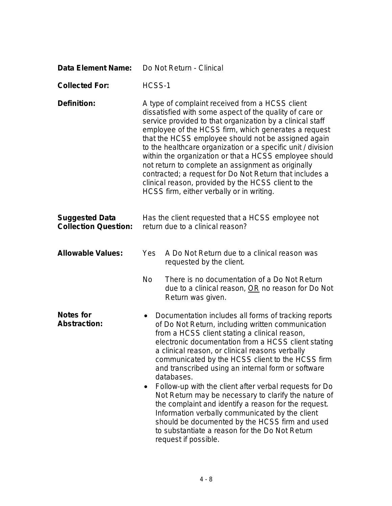| Data Element Name:                                   | Do Not Return - Clinical                                                                                                                                                                                                                                                                                                                                                                                                                                                                                                                                                                                                                                                                                                                                                        |  |
|------------------------------------------------------|---------------------------------------------------------------------------------------------------------------------------------------------------------------------------------------------------------------------------------------------------------------------------------------------------------------------------------------------------------------------------------------------------------------------------------------------------------------------------------------------------------------------------------------------------------------------------------------------------------------------------------------------------------------------------------------------------------------------------------------------------------------------------------|--|
| <b>Collected For:</b>                                | HCSS-1                                                                                                                                                                                                                                                                                                                                                                                                                                                                                                                                                                                                                                                                                                                                                                          |  |
| <b>Definition:</b>                                   | A type of complaint received from a HCSS client<br>dissatisfied with some aspect of the quality of care or<br>service provided to that organization by a clinical staff<br>employee of the HCSS firm, which generates a request<br>that the HCSS employee should not be assigned again<br>to the healthcare organization or a specific unit / division<br>within the organization or that a HCSS employee should<br>not return to complete an assignment as originally<br>contracted; a request for Do Not Return that includes a<br>clinical reason, provided by the HCSS client to the<br>HCSS firm, either verbally or in writing.                                                                                                                                           |  |
| <b>Suggested Data</b><br><b>Collection Question:</b> | Has the client requested that a HCSS employee not<br>return due to a clinical reason?                                                                                                                                                                                                                                                                                                                                                                                                                                                                                                                                                                                                                                                                                           |  |
| <b>Allowable Values:</b>                             | <b>Yes</b><br>A Do Not Return due to a clinical reason was<br>requested by the client.                                                                                                                                                                                                                                                                                                                                                                                                                                                                                                                                                                                                                                                                                          |  |
|                                                      | No<br>There is no documentation of a Do Not Return<br>due to a clinical reason, OR no reason for Do Not<br>Return was given.                                                                                                                                                                                                                                                                                                                                                                                                                                                                                                                                                                                                                                                    |  |
| <b>Notes for</b><br><b>Abstraction:</b>              | Documentation includes all forms of tracking reports<br>$\bullet$<br>of Do Not Return, including written communication<br>from a HCSS client stating a clinical reason,<br>electronic documentation from a HCSS client stating<br>a clinical reason, or clinical reasons verbally<br>communicated by the HCSS client to the HCSS firm<br>and transcribed using an internal form or software<br>databases.<br>Follow-up with the client after verbal requests for Do<br>$\bullet$<br>Not Return may be necessary to clarify the nature of<br>the complaint and identify a reason for the request.<br>Information verbally communicated by the client<br>should be documented by the HCSS firm and used<br>to substantiate a reason for the Do Not Return<br>request if possible. |  |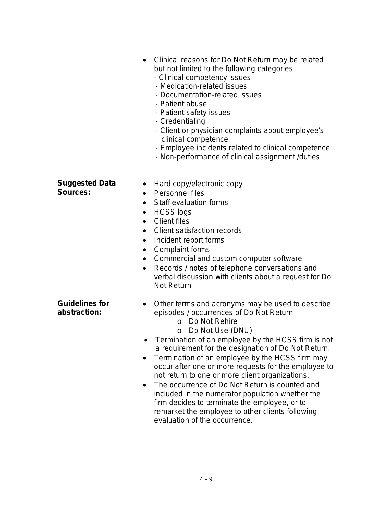- Clinical reasons for Do Not Return may be related but not limited to the following categories:
	- Clinical competency issues
	- Medication-related issues
	- Documentation-related issues
	- Patient abuse
	- Patient safety issues
	- Credentialing
	- Client or physician complaints about employee's clinical competence
	- Employee incidents related to clinical competence
	- Non-performance of clinical assignment /duties
- **Suggested Data Sources:**
- Hard copy/electronic copy
- Personnel files
- Staff evaluation forms
- HCSS logs
- Client files
- Client satisfaction records
- Incident report forms
- Complaint forms
- Commercial and custom computer software
- Records / notes of telephone conversations and verbal discussion with clients about a request for Do Not Return

**Guidelines for abstraction:**

- Other terms and acronyms may be used to describe episodes / occurrences of Do Not Return
	- o Do Not Rehire
	- o Do Not Use (DNU)
- Termination of an employee by the HCSS firm is not a requirement for the designation of Do Not Return.
- Termination of an employee by the HCSS firm may occur after one or more requests for the employee to not return to one or more client organizations.
- The occurrence of Do Not Return is counted and included in the numerator population whether the firm decides to terminate the employee, or to remarket the employee to other clients following evaluation of the occurrence.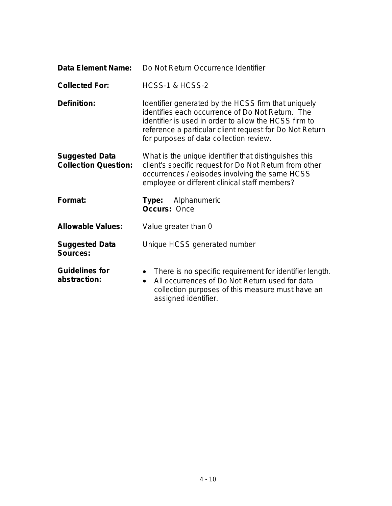| <b>Data Element Name:</b>                            | Do Not Return Occurrence Identifier                                                                                                                                                                                                                                    |  |  |
|------------------------------------------------------|------------------------------------------------------------------------------------------------------------------------------------------------------------------------------------------------------------------------------------------------------------------------|--|--|
| <b>Collected For:</b>                                | <b>HCSS-1 &amp; HCSS-2</b>                                                                                                                                                                                                                                             |  |  |
| <b>Definition:</b>                                   | Identifier generated by the HCSS firm that uniquely<br>identifies each occurrence of Do Not Return. The<br>identifier is used in order to allow the HCSS firm to<br>reference a particular client request for Do Not Return<br>for purposes of data collection review. |  |  |
| <b>Suggested Data</b><br><b>Collection Question:</b> | What is the unique identifier that distinguishes this<br>client's specific request for Do Not Return from other<br>occurrences / episodes involving the same HCSS<br>employee or different clinical staff members?                                                     |  |  |
| Format:                                              | <b>Type:</b> Alphanumeric<br><b>Occurs: Once</b>                                                                                                                                                                                                                       |  |  |
| <b>Allowable Values:</b>                             | Value greater than 0                                                                                                                                                                                                                                                   |  |  |
| <b>Suggested Data</b><br>Sources:                    | Unique HCSS generated number                                                                                                                                                                                                                                           |  |  |
| <b>Guidelines for</b><br>abstraction:                | There is no specific requirement for identifier length.<br>$\bullet$<br>All occurrences of Do Not Return used for data<br>$\bullet$<br>collection purposes of this measure must have an<br>assigned identifier.                                                        |  |  |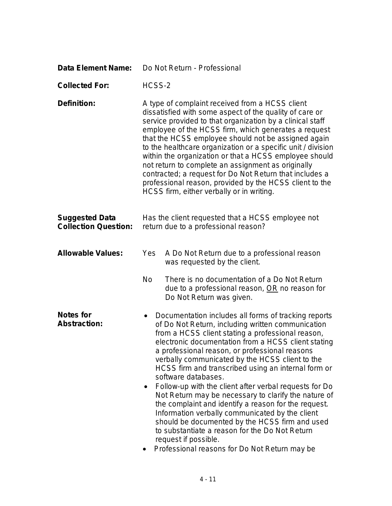| <b>Data Element Name:</b>                            | Do Not Return - Professional                                                                                                                                                                                                                                                                                                                                                                                                                                                                                                                                                                                                                                                                                                                                                                                                                 |  |  |
|------------------------------------------------------|----------------------------------------------------------------------------------------------------------------------------------------------------------------------------------------------------------------------------------------------------------------------------------------------------------------------------------------------------------------------------------------------------------------------------------------------------------------------------------------------------------------------------------------------------------------------------------------------------------------------------------------------------------------------------------------------------------------------------------------------------------------------------------------------------------------------------------------------|--|--|
| <b>Collected For:</b>                                | HCSS-2                                                                                                                                                                                                                                                                                                                                                                                                                                                                                                                                                                                                                                                                                                                                                                                                                                       |  |  |
| <b>Definition:</b>                                   | A type of complaint received from a HCSS client<br>dissatisfied with some aspect of the quality of care or<br>service provided to that organization by a clinical staff<br>employee of the HCSS firm, which generates a request<br>that the HCSS employee should not be assigned again<br>to the healthcare organization or a specific unit / division<br>within the organization or that a HCSS employee should<br>not return to complete an assignment as originally<br>contracted; a request for Do Not Return that includes a<br>professional reason, provided by the HCSS client to the<br>HCSS firm, either verbally or in writing.                                                                                                                                                                                                    |  |  |
| <b>Suggested Data</b><br><b>Collection Question:</b> | Has the client requested that a HCSS employee not<br>return due to a professional reason?                                                                                                                                                                                                                                                                                                                                                                                                                                                                                                                                                                                                                                                                                                                                                    |  |  |
| <b>Allowable Values:</b>                             | Yes<br>A Do Not Return due to a professional reason<br>was requested by the client.                                                                                                                                                                                                                                                                                                                                                                                                                                                                                                                                                                                                                                                                                                                                                          |  |  |
|                                                      | <b>No</b><br>There is no documentation of a Do Not Return<br>due to a professional reason, OR no reason for<br>Do Not Return was given.                                                                                                                                                                                                                                                                                                                                                                                                                                                                                                                                                                                                                                                                                                      |  |  |
| <b>Notes for</b><br><b>Abstraction:</b>              | Documentation includes all forms of tracking reports<br>$\bullet$<br>of Do Not Return, including written communication<br>from a HCSS client stating a professional reason,<br>electronic documentation from a HCSS client stating<br>a professional reason, or professional reasons<br>verbally communicated by the HCSS client to the<br>HCSS firm and transcribed using an internal form or<br>software databases.<br>Follow-up with the client after verbal requests for Do<br>$\bullet$<br>Not Return may be necessary to clarify the nature of<br>the complaint and identify a reason for the request.<br>Information verbally communicated by the client<br>should be documented by the HCSS firm and used<br>to substantiate a reason for the Do Not Return<br>request if possible.<br>Professional reasons for Do Not Return may be |  |  |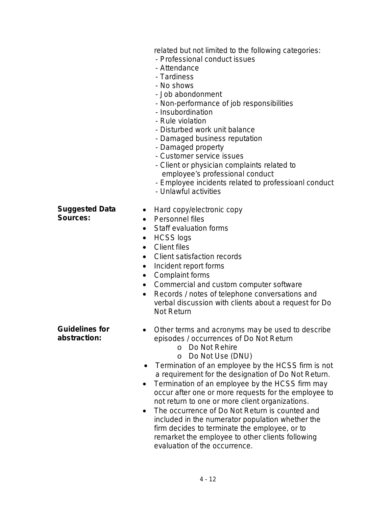related but not limited to the following categories:

- Professional conduct issues
- Attendance
- Tardiness
- No shows
- Job abondonment
- Non-performance of job responsibilities
- Insubordination
- Rule violation
- Disturbed work unit balance
- Damaged business reputation
- Damaged property
- Customer service issues
- Client or physician complaints related to employee's professional conduct
- Employee incidents related to professioanl conduct
- Unlawful activities
- **Suggested Data Sources:**
- Hard copy/electronic copy
- Personnel files
- Staff evaluation forms
- HCSS logs
- Client files
- Client satisfaction records
- Incident report forms
- Complaint forms
- Commercial and custom computer software
- Records / notes of telephone conversations and verbal discussion with clients about a request for Do Not Return

#### **Guidelines for abstraction:**

- Other terms and acronyms may be used to describe episodes / occurrences of Do Not Return
	- o Do Not Rehire
	- o Do Not Use (DNU)
- Termination of an employee by the HCSS firm is not a requirement for the designation of Do Not Return.
- Termination of an employee by the HCSS firm may occur after one or more requests for the employee to not return to one or more client organizations.
- The occurrence of Do Not Return is counted and included in the numerator population whether the firm decides to terminate the employee, or to remarket the employee to other clients following evaluation of the occurrence.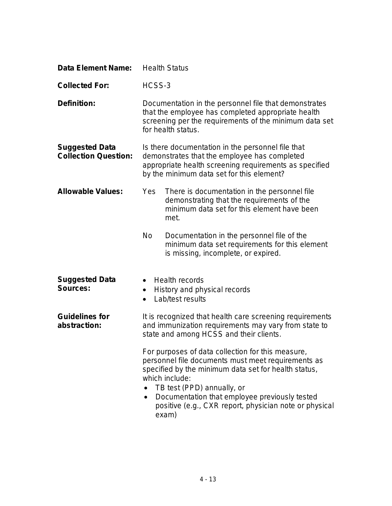| <b>Data Element Name:</b>                            | <b>Health Status</b>                                                                                                                                                                                     |                                                                                                                                                                                                                                                                                                                                     |  |
|------------------------------------------------------|----------------------------------------------------------------------------------------------------------------------------------------------------------------------------------------------------------|-------------------------------------------------------------------------------------------------------------------------------------------------------------------------------------------------------------------------------------------------------------------------------------------------------------------------------------|--|
| <b>Collected For:</b>                                | HCSS-3                                                                                                                                                                                                   |                                                                                                                                                                                                                                                                                                                                     |  |
| <b>Definition:</b>                                   | Documentation in the personnel file that demonstrates<br>that the employee has completed appropriate health<br>screening per the requirements of the minimum data set<br>for health status.              |                                                                                                                                                                                                                                                                                                                                     |  |
| <b>Suggested Data</b><br><b>Collection Question:</b> | Is there documentation in the personnel file that<br>demonstrates that the employee has completed<br>appropriate health screening requirements as specified<br>by the minimum data set for this element? |                                                                                                                                                                                                                                                                                                                                     |  |
| <b>Allowable Values:</b>                             | Yes<br>There is documentation in the personnel file<br>demonstrating that the requirements of the<br>minimum data set for this element have been<br>met.                                                 |                                                                                                                                                                                                                                                                                                                                     |  |
|                                                      | <b>No</b>                                                                                                                                                                                                | Documentation in the personnel file of the<br>minimum data set requirements for this element<br>is missing, incomplete, or expired.                                                                                                                                                                                                 |  |
| <b>Suggested Data</b><br><b>Sources:</b>             | Health records<br>$\bullet$<br>History and physical records<br>$\bullet$<br>Lab/test results<br>$\bullet$                                                                                                |                                                                                                                                                                                                                                                                                                                                     |  |
| <b>Guidelines for</b><br>abstraction:                | It is recognized that health care screening requirements<br>and immunization requirements may vary from state to<br>state and among HCSS and their clients.                                              |                                                                                                                                                                                                                                                                                                                                     |  |
|                                                      | $\bullet$                                                                                                                                                                                                | For purposes of data collection for this measure,<br>personnel file documents must meet requirements as<br>specified by the minimum data set for health status,<br>which include:<br>TB test (PPD) annually, or<br>Documentation that employee previously tested<br>positive (e.g., CXR report, physician note or physical<br>exam) |  |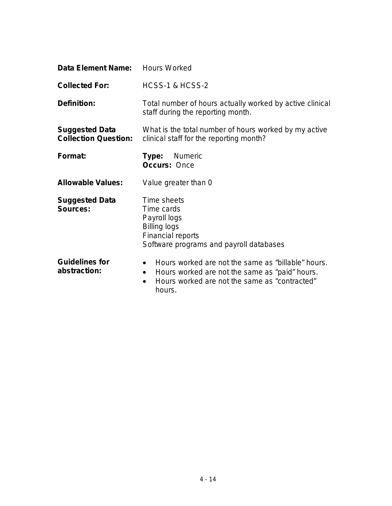| Data Element Name: Hours Worked                      |                                                                                                                                                                                                        |  |  |
|------------------------------------------------------|--------------------------------------------------------------------------------------------------------------------------------------------------------------------------------------------------------|--|--|
| <b>Collected For:</b>                                | HCSS-1 & HCSS-2                                                                                                                                                                                        |  |  |
| <b>Definition:</b>                                   | Total number of hours actually worked by active clinical<br>staff during the reporting month.                                                                                                          |  |  |
| <b>Suggested Data</b><br><b>Collection Question:</b> | What is the total number of hours worked by my active<br>clinical staff for the reporting month?                                                                                                       |  |  |
| Format:                                              | <b>Numeric</b><br>Type:<br><b>Occurs: Once</b>                                                                                                                                                         |  |  |
| <b>Allowable Values:</b>                             | Value greater than 0                                                                                                                                                                                   |  |  |
| <b>Suggested Data</b><br>Sources:                    | Time sheets<br>Time cards<br>Payroll logs<br><b>Billing logs</b><br><b>Financial reports</b><br>Software programs and payroll databases                                                                |  |  |
| <b>Guidelines for</b><br>abstraction:                | Hours worked are not the same as "billable" hours.<br>$\bullet$<br>Hours worked are not the same as "paid" hours.<br>$\bullet$<br>Hours worked are not the same as "contracted"<br>$\bullet$<br>hours. |  |  |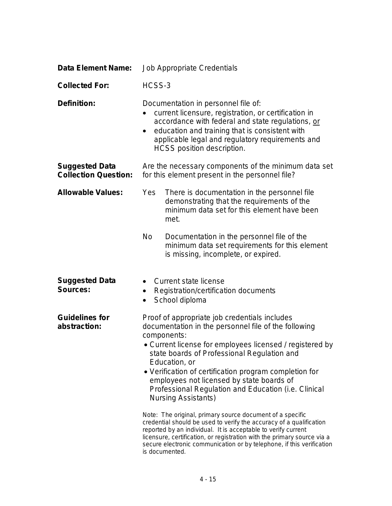| <b>Data Element Name:</b>                            | <b>Job Appropriate Credentials</b>                                                                                                                                                                                                                                                                                                                                                                                                                                                                                                                                                                                                                                                                                                                                                                     |  |  |
|------------------------------------------------------|--------------------------------------------------------------------------------------------------------------------------------------------------------------------------------------------------------------------------------------------------------------------------------------------------------------------------------------------------------------------------------------------------------------------------------------------------------------------------------------------------------------------------------------------------------------------------------------------------------------------------------------------------------------------------------------------------------------------------------------------------------------------------------------------------------|--|--|
| <b>Collected For:</b>                                | HCSS-3                                                                                                                                                                                                                                                                                                                                                                                                                                                                                                                                                                                                                                                                                                                                                                                                 |  |  |
| <b>Definition:</b>                                   | Documentation in personnel file of:<br>current licensure, registration, or certification in<br>accordance with federal and state regulations, or<br>education and training that is consistent with<br>applicable legal and regulatory requirements and<br>HCSS position description.                                                                                                                                                                                                                                                                                                                                                                                                                                                                                                                   |  |  |
| <b>Suggested Data</b><br><b>Collection Question:</b> | Are the necessary components of the minimum data set<br>for this element present in the personnel file?                                                                                                                                                                                                                                                                                                                                                                                                                                                                                                                                                                                                                                                                                                |  |  |
| <b>Allowable Values:</b>                             | Yes<br>There is documentation in the personnel file<br>demonstrating that the requirements of the<br>minimum data set for this element have been<br>met.                                                                                                                                                                                                                                                                                                                                                                                                                                                                                                                                                                                                                                               |  |  |
|                                                      | No<br>Documentation in the personnel file of the<br>minimum data set requirements for this element<br>is missing, incomplete, or expired.                                                                                                                                                                                                                                                                                                                                                                                                                                                                                                                                                                                                                                                              |  |  |
| <b>Suggested Data</b><br>Sources:                    | <b>Current state license</b><br>$\bullet$<br>Registration/certification documents<br>$\bullet$<br>School diploma                                                                                                                                                                                                                                                                                                                                                                                                                                                                                                                                                                                                                                                                                       |  |  |
| <b>Guidelines for</b><br>abstraction:                | Proof of appropriate job credentials includes<br>documentation in the personnel file of the following<br>components:<br>• Current license for employees licensed / registered by<br>state boards of Professional Regulation and<br>Education, or<br>• Verification of certification program completion for<br>employees not licensed by state boards of<br>Professional Regulation and Education (i.e. Clinical<br><b>Nursing Assistants)</b><br>Note: The original, primary source document of a specific<br>credential should be used to verify the accuracy of a qualification<br>reported by an individual. It is acceptable to verify current<br>licensure, certification, or registration with the primary source via a<br>secure electronic communication or by telephone, if this verification |  |  |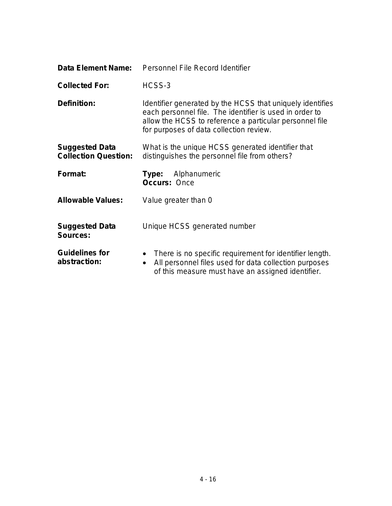| Data Element Name:                                   | Personnel File Record Identifier                                                                                                                                                                                           |  |
|------------------------------------------------------|----------------------------------------------------------------------------------------------------------------------------------------------------------------------------------------------------------------------------|--|
| <b>Collected For:</b>                                | HCSS-3                                                                                                                                                                                                                     |  |
| <b>Definition:</b>                                   | Identifier generated by the HCSS that uniquely identifies<br>each personnel file. The identifier is used in order to<br>allow the HCSS to reference a particular personnel file<br>for purposes of data collection review. |  |
| <b>Suggested Data</b><br><b>Collection Question:</b> | What is the unique HCSS generated identifier that<br>distinguishes the personnel file from others?                                                                                                                         |  |
| Format:                                              | Alphanumeric<br>Type:<br><b>Occurs: Once</b>                                                                                                                                                                               |  |
| <b>Allowable Values:</b>                             | Value greater than 0                                                                                                                                                                                                       |  |
| <b>Suggested Data</b><br>Sources:                    | Unique HCSS generated number                                                                                                                                                                                               |  |
| <b>Guidelines for</b><br>abstraction:                | There is no specific requirement for identifier length.<br>$\bullet$<br>All personnel files used for data collection purposes<br>$\bullet$<br>of this measure must have an assigned identifier.                            |  |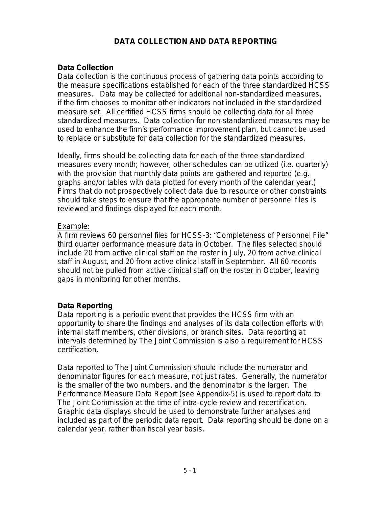## **DATA COLLECTION AND DATA REPORTING**

## *Data Collection*

Data collection is the continuous process of gathering data points according to the measure specifications established for each of the three standardized HCSS measures. Data may be collected for additional non-standardized measures, if the firm chooses to monitor other indicators not included in the standardized measure set. All certified HCSS firms should be collecting data for all three standardized measures. Data collection for non-standardized measures may be used to enhance the firm's performance improvement plan, but cannot be used to replace or substitute for data collection for the standardized measures.

Ideally, firms should be collecting data for each of the three standardized measures every month; however, other schedules can be utilized (i.e. quarterly) with the provision that monthly data points are gathered and reported (e.g. graphs and/or tables with data plotted for every month of the calendar year.) Firms that do not prospectively collect data due to resource or other constraints should take steps to ensure that the appropriate number of personnel files is reviewed and findings displayed for each month.

#### Example:

A firm reviews 60 personnel files for HCSS-3: "Completeness of Personnel File" third quarter performance measure data in October. The files selected should include 20 from active clinical staff on the roster in July, 20 from active clinical staff in August, and 20 from active clinical staff in September. All 60 records should not be pulled from active clinical staff on the roster in October, leaving gaps in monitoring for other months.

#### *Data Reporting*

Data reporting is a periodic event that provides the HCSS firm with an opportunity to share the findings and analyses of its data collection efforts with internal staff members, other divisions, or branch sites. Data reporting at intervals determined by The Joint Commission is also a requirement for HCSS certification.

Data reported to The Joint Commission should include the numerator and denominator figures for each measure, not just rates. Generally, the numerator is the smaller of the two numbers, and the denominator is the larger. The *Performance Measure Data Report* (see Appendix-5) is used to report data to The Joint Commission at the time of intra-cycle review and recertification. Graphic data displays should be used to demonstrate further analyses and included as part of the periodic data report. Data reporting should be done on a calendar year, rather than fiscal year basis.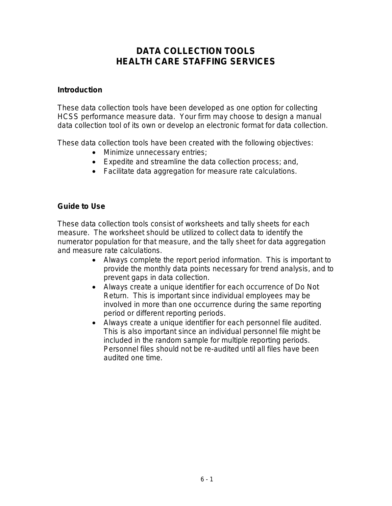# **DATA COLLECTION TOOLS HEALTH CARE STAFFING SERVICES**

## *Introduction*

These data collection tools have been developed as one option for collecting HCSS performance measure data. Your firm may choose to design a manual data collection tool of its own or develop an electronic format for data collection.

These data collection tools have been created with the following objectives:

- Minimize unnecessary entries;
- Expedite and streamline the data collection process; and,
- Facilitate data aggregation for measure rate calculations.

## *Guide to Use*

These data collection tools consist of worksheets and tally sheets for each measure. The worksheet should be utilized to collect data to identify the numerator population for that measure, and the tally sheet for data aggregation and measure rate calculations.

- Always complete the report period information. This is important to provide the monthly data points necessary for trend analysis, and to prevent gaps in data collection.
- Always create a unique identifier for each occurrence of Do Not Return. This is important since individual employees may be involved in more than one occurrence during the same reporting period or different reporting periods.
- Always create a unique identifier for each personnel file audited. This is also important since an individual personnel file might be included in the random sample for multiple reporting periods. Personnel files should not be re-audited until all files have been audited one time.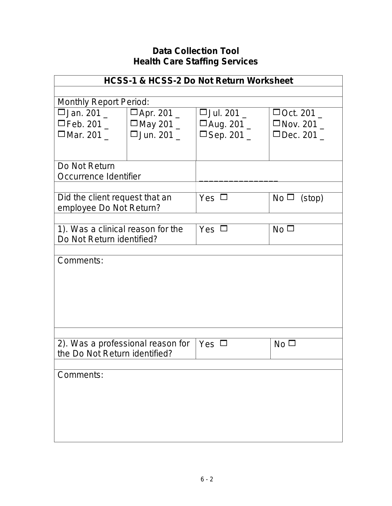| <b>HCSS-1 &amp; HCSS-2 Do Not Return Worksheet</b> |                             |                                          |                        |
|----------------------------------------------------|-----------------------------|------------------------------------------|------------------------|
|                                                    |                             |                                          |                        |
| <b>Monthly Report Period:</b>                      |                             |                                          |                        |
| $\square$ Jan. 201 $\square$                       | $\Box$ Apr. 201 _           | $\square$ Jul. 201 $\square$             | $\Box$ Oct. 201 $\Box$ |
| $\square$ Feb. 201 $\_\ \square$                   | $\square$ May 201 $\square$ | $\Box$ Aug. 201 $\overline{\phantom{0}}$ | $\square$ Nov. 201     |
| $\square$ Mar. 201                                 | $\Box$ Jun. 201 $\Box$      | $\square$ Sep. 201 $\square$             | $\Box$ Dec. 201 $\Box$ |
|                                                    |                             |                                          |                        |
|                                                    |                             |                                          |                        |
| Do Not Return<br>Occurrence Identifier             |                             |                                          |                        |
|                                                    |                             |                                          |                        |
| Did the client request that an                     |                             | Yes $\Box$                               | No $\square$<br>(stop) |
| employee Do Not Return?                            |                             |                                          |                        |
|                                                    |                             |                                          |                        |
| 1). Was a clinical reason for the                  |                             | Yes $\Box$                               | No <sub>1</sub>        |
| Do Not Return identified?                          |                             |                                          |                        |
|                                                    |                             |                                          |                        |
| Comments:                                          |                             |                                          |                        |
|                                                    |                             |                                          |                        |
|                                                    |                             |                                          |                        |
|                                                    |                             |                                          |                        |
|                                                    |                             |                                          |                        |
|                                                    |                             |                                          |                        |
|                                                    |                             |                                          |                        |
| 2). Was a professional reason for                  |                             | Yes $\Box$                               | No <sub>1</sub>        |
| the Do Not Return identified?                      |                             |                                          |                        |
|                                                    |                             |                                          |                        |
| Comments:                                          |                             |                                          |                        |
|                                                    |                             |                                          |                        |
|                                                    |                             |                                          |                        |
|                                                    |                             |                                          |                        |
|                                                    |                             |                                          |                        |
|                                                    |                             |                                          |                        |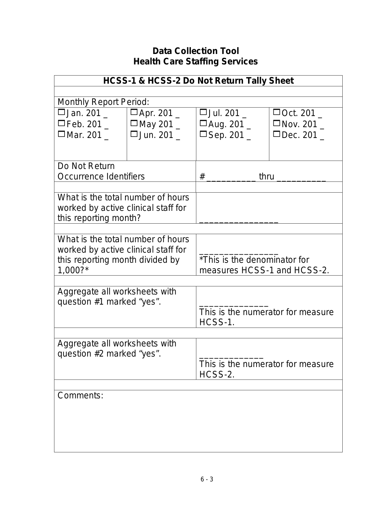| <b>HCSS-1 &amp; HCSS-2 Do Not Return Tally Sheet</b> |                        |                                   |                    |
|------------------------------------------------------|------------------------|-----------------------------------|--------------------|
|                                                      |                        |                                   |                    |
| <b>Monthly Report Period:</b>                        |                        |                                   |                    |
| □Jan. 201<br>$\Box$ Apr. 201 _                       |                        | $\Box$ Jul. 201                   | $\Box$ Oct. 201    |
| $\square$ Feb. 201                                   | $\Box$ May 201 $\Box$  | $\square$ Aug. 201 $\square$      | $\square$ Nov. 201 |
| □Mar. 201                                            | $\Box$ Jun. 201 $\Box$ | $\Box$ Sep. 201 $\_$              | $\Box$ Dec. 201    |
|                                                      |                        |                                   |                    |
|                                                      |                        |                                   |                    |
| Do Not Return<br>Occurrence Identifiers              |                        |                                   |                    |
|                                                      |                        | thru<br>#                         |                    |
| What is the total number of hours                    |                        |                                   |                    |
| worked by active clinical staff for                  |                        |                                   |                    |
| this reporting month?                                |                        |                                   |                    |
|                                                      |                        |                                   |                    |
| What is the total number of hours                    |                        |                                   |                    |
| worked by active clinical staff for                  |                        |                                   |                    |
| this reporting month divided by                      |                        | *This is the denominator for      |                    |
| 1,000?*                                              |                        | measures HCSS-1 and HCSS-2.       |                    |
|                                                      |                        |                                   |                    |
| Aggregate all worksheets with                        |                        |                                   |                    |
| question #1 marked "yes".                            |                        | This is the numerator for measure |                    |
|                                                      |                        | HCSS-1.                           |                    |
|                                                      |                        |                                   |                    |
| Aggregate all worksheets with                        |                        |                                   |                    |
| question #2 marked "yes".                            |                        |                                   |                    |
|                                                      |                        | This is the numerator for measure |                    |
|                                                      |                        | HCSS-2.                           |                    |
|                                                      |                        |                                   |                    |
| Comments:                                            |                        |                                   |                    |
|                                                      |                        |                                   |                    |
|                                                      |                        |                                   |                    |
|                                                      |                        |                                   |                    |
|                                                      |                        |                                   |                    |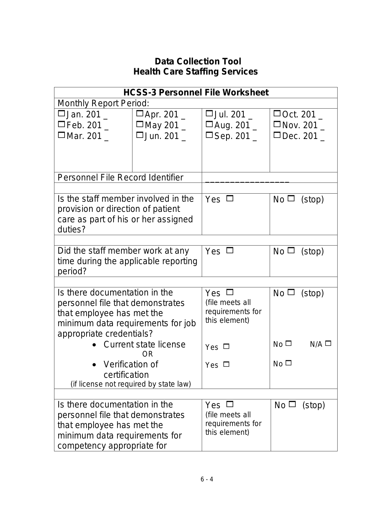| <b>HCSS-3 Personnel File Worksheet</b>                                                                                                                          |                                                                            |                                                                            |                                                               |
|-----------------------------------------------------------------------------------------------------------------------------------------------------------------|----------------------------------------------------------------------------|----------------------------------------------------------------------------|---------------------------------------------------------------|
| <b>Monthly Report Period:</b>                                                                                                                                   |                                                                            |                                                                            |                                                               |
| □Jan. 201<br>$\square$ Feb. 201<br>$\square$ Mar. 201                                                                                                           | $\Box$ Apr. 201 _<br>$\square$ May 201 $\square$<br>$\Box$ Jun. 201 $\Box$ | □ Jul. 201<br>$\square$ Aug. 201 $\square$<br>$\square$ Sep. 201 $\square$ | $\Box$ Oct. 201<br>$\square$ Nov. 201<br>$\Box$ Dec. 201 $\_$ |
| <b>Personnel File Record Identifier</b>                                                                                                                         |                                                                            |                                                                            |                                                               |
| Is the staff member involved in the<br>provision or direction of patient<br>care as part of his or her assigned<br>duties?                                      |                                                                            | Yes $\Box$                                                                 | No $\Box$<br>(stop)                                           |
| Did the staff member work at any<br>time during the applicable reporting<br>period?                                                                             |                                                                            | Yes $\Box$                                                                 | $No\square$<br>(stop)                                         |
|                                                                                                                                                                 |                                                                            |                                                                            |                                                               |
| Is there documentation in the<br>personnel file that demonstrates<br>that employee has met the<br>minimum data requirements for job<br>appropriate credentials? |                                                                            | Yes $\Box$<br>(file meets all<br>requirements for<br>this element)         | No <sub>1</sub><br>(stop)                                     |
|                                                                                                                                                                 | <b>Current state license</b><br><b>OR</b>                                  | Yes $\square$                                                              | $No\square$<br>$N/A \Box$                                     |
| Verification of<br>certification<br>(if license not required by state law)                                                                                      |                                                                            | Yes $\Box$                                                                 | No $\square$                                                  |
|                                                                                                                                                                 |                                                                            |                                                                            |                                                               |
| Is there documentation in the<br>personnel file that demonstrates<br>that employee has met the<br>minimum data requirements for<br>competency appropriate for   |                                                                            | Yes<br>$\sim$<br>(file meets all<br>requirements for<br>this element)      | No <sub>1</sub><br>(stop)                                     |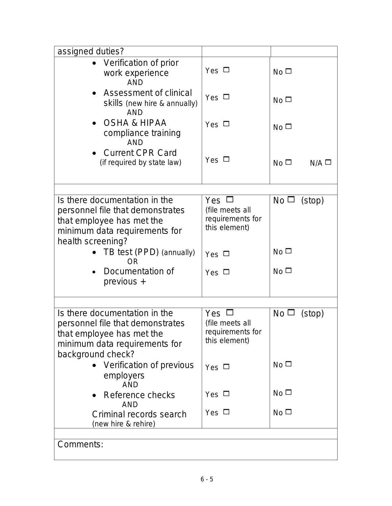| assigned duties?                                                                                                                                     |                                                                    |                           |
|------------------------------------------------------------------------------------------------------------------------------------------------------|--------------------------------------------------------------------|---------------------------|
| Verification of prior<br>work experience<br><b>AND</b>                                                                                               | Yes $\Box$                                                         | No <sub>1</sub>           |
| Assessment of clinical<br>skills (new hire & annually)<br><b>AND</b>                                                                                 | Yes $\Box$                                                         | $No\square$               |
| <b>OSHA &amp; HIPAA</b><br>compliance training<br><b>AND</b>                                                                                         | Yes $\Box$                                                         | $No\square$               |
| <b>Current CPR Card</b><br>(if required by state law)                                                                                                | Yes $\Box$                                                         | $No\square$<br>$N/A \Box$ |
|                                                                                                                                                      |                                                                    |                           |
| Is there documentation in the<br>personnel file that demonstrates<br>that employee has met the<br>minimum data requirements for<br>health screening? | Yes $\Box$<br>(file meets all<br>requirements for<br>this element) | No <sub>1</sub><br>(stop) |
| TB test (PPD) (annually)<br>OR                                                                                                                       | Yes $\Box$                                                         | $No\square$               |
| Documentation of<br>previous +                                                                                                                       | Yes $\Box$                                                         | No <sub>1</sub>           |
|                                                                                                                                                      |                                                                    |                           |
| Is there documentation in the<br>personnel file that demonstrates<br>that employee has met the<br>minimum data requirements for<br>background check? | Yes □<br>(file meets all<br>requirements for<br>this element)      | No <sub>1</sub><br>(stop) |
| Verification of previous<br>employers<br><b>AND</b>                                                                                                  | Yes $\square$                                                      | $No\square$               |
| • Reference checks<br><b>AND</b>                                                                                                                     | Yes $\square$                                                      | No <sub>1</sub>           |
| Criminal records search<br>(new hire & rehire)                                                                                                       | Yes $\Box$                                                         | No <sub>1</sub>           |
|                                                                                                                                                      |                                                                    |                           |
| Comments:                                                                                                                                            |                                                                    |                           |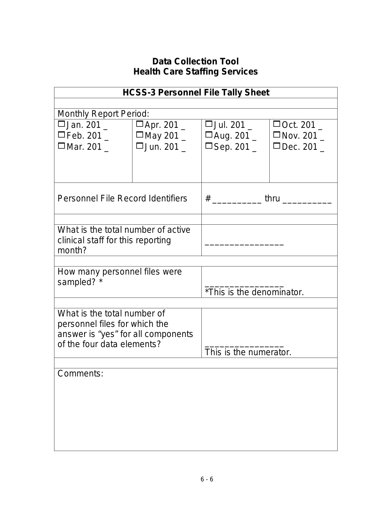| <b>HCSS-3 Personnel File Tally Sheet</b>                                                                                         |                                                                        |                                                                                       |                                                                        |
|----------------------------------------------------------------------------------------------------------------------------------|------------------------------------------------------------------------|---------------------------------------------------------------------------------------|------------------------------------------------------------------------|
|                                                                                                                                  |                                                                        |                                                                                       |                                                                        |
| <b>Monthly Report Period:</b>                                                                                                    |                                                                        |                                                                                       |                                                                        |
| □ Jan. 201<br>$\square$ Feb. 201<br>□Mar. 201                                                                                    | $\square$ Apr. 201 _<br>$\square$ May 201 $\square$<br>$\Box$ Jun. 201 | $\Box$ Jul. 201 $\_\$<br>$\square$ Aug. 201 $\square$<br>$\square$ Sep. 201 $\square$ | $\Box$ Oct. 201 $\Box$<br>$\square$ Nov. 201<br>$\Box$ Dec. 201 $\Box$ |
|                                                                                                                                  |                                                                        |                                                                                       |                                                                        |
| <b>Personnel File Record Identifiers</b>                                                                                         |                                                                        | # _____________ thru _____________                                                    |                                                                        |
| What is the total number of active<br>clinical staff for this reporting<br>month?                                                |                                                                        |                                                                                       |                                                                        |
| How many personnel files were<br>sampled? *                                                                                      |                                                                        | *This is the denominator.                                                             |                                                                        |
| What is the total number of<br>personnel files for which the<br>answer is "yes" for all components<br>of the four data elements? |                                                                        | This is the numerator.                                                                |                                                                        |
| Comments:                                                                                                                        |                                                                        |                                                                                       |                                                                        |
|                                                                                                                                  |                                                                        |                                                                                       |                                                                        |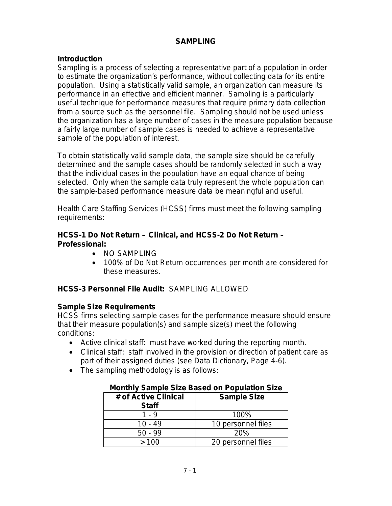#### **SAMPLING**

## *Introduction*

Sampling is a process of selecting a representative part of a population in order to estimate the organization's performance, without collecting data for its entire population. Using a statistically valid sample, an organization can measure its performance in an effective and efficient manner. Sampling is a particularly useful technique for performance measures that require primary data collection from a source such as the personnel file. Sampling should not be used unless the organization has a large number of cases in the measure population because a fairly large number of sample cases is needed to achieve a representative sample of the population of interest.

To obtain statistically valid sample data, the sample size should be carefully determined and the sample cases should be randomly selected in such a way that the individual cases in the population have an equal chance of being selected. Only when the sample data truly represent the whole population can the sample-based performance measure data be meaningful and useful.

Health Care Staffing Services (HCSS) firms must meet the following sampling requirements:

## **HCSS-1 Do Not Return – Clinical, and HCSS-2 Do Not Return – Professional:**

- NO SAMPLING
- 100% of Do Not Return occurrences per month are considered for these measures.

## **HCSS-3 Personnel File Audit:** SAMPLING ALLOWED

#### *Sample Size Requirements*

HCSS firms selecting sample cases for the performance measure should ensure that their measure population(s) and sample size(s) meet the following conditions:

- Active clinical staff: must have worked during the reporting month.
- Clinical staff: staff involved in the provision or direction of patient care as part of their assigned duties (see Data Dictionary, Page 4-6).
- The sampling methodology is as follows:

| # of Active Clinical<br><b>Staff</b> | <b>Sample Size</b> |
|--------------------------------------|--------------------|
| 1 - 9                                | 100%               |
| $10 - 49$                            | 10 personnel files |
| $50 - 99$                            | 20%                |
| >100                                 | 20 personnel files |

## **Monthly Sample Size Based on Population Size**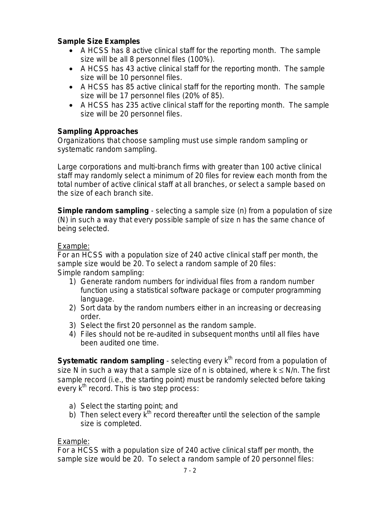## *Sample Size Examples*

- A HCSS has 8 active clinical staff for the reporting month. The sample size will be all 8 personnel files (100%).
- A HCSS has 43 active clinical staff for the reporting month. The sample size will be 10 personnel files.
- A HCSS has 85 active clinical staff for the reporting month. The sample size will be 17 personnel files (20% of 85).
- A HCSS has 235 active clinical staff for the reporting month. The sample size will be 20 personnel files.

## *Sampling Approaches*

Organizations that choose sampling must use simple random sampling or systematic random sampling.

Large corporations and multi-branch firms with greater than 100 active clinical staff may randomly select a minimum of 20 files for review each month from the total number of active clinical staff at all branches, or select a sample based on the size of each branch site.

**Simple random sampling** - selecting a sample size (*n)* from a population of size (*N)* in such a way that every possible sample of size *n* has the same chance of being selected.

## Example:

For an HCSS with a population size of 240 active clinical staff per month, the sample size would be 20. To select a random sample of 20 files: Simple random sampling:

- 1) Generate random numbers for individual files from a random number function using a statistical software package or computer programming language.
- 2) Sort data by the random numbers either in an increasing or decreasing order.
- 3) Select the first 20 personnel as the random sample.
- 4) Files should not be re-audited in subsequent months until all files have been audited one time.

**Systematic random sampling** - selecting every  $k<sup>th</sup>$  record from a population of size *N* in such a way that a sample size of *n* is obtained, where *k* ≤ *N/n*. The first sample record (i.e., the starting point) must be randomly selected before taking every  $k^{th}$  record. This is two step process:

- a) Select the starting point; and
- b) Then select every  $k<sup>th</sup>$  record thereafter until the selection of the sample size is completed.

## Example:

For a HCSS with a population size of 240 active clinical staff per month, the sample size would be 20. To select a random sample of 20 personnel files: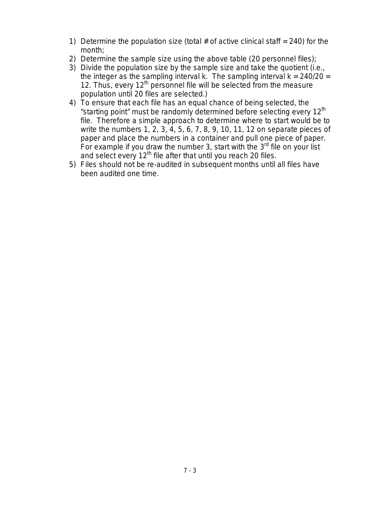- 1) Determine the population size (total  $#$  of active clinical staff = 240) for the month;
- 2) Determine the sample size using the above table (20 personnel files);
- 3) Divide the population size by the sample size and take the quotient (i.e., the integer as the sampling interval *k*. The sampling interval  $k = 240/20 =$ 12. Thus, every  $12<sup>th</sup>$  personnel file will be selected from the measure population until 20 files are selected.)
- 4) To ensure that each file has an equal chance of being selected, the "starting point" must be randomly determined before selecting every 12<sup>th</sup> file. Therefore a simple approach to determine where to start would be to write the numbers 1, 2, 3, 4, 5, 6, 7, 8, 9, 10, 11, 12 on separate pieces of paper and place the numbers in a container and pull one piece of paper. For example if you draw the number 3, start with the  $3<sup>rd</sup>$  file on your list and select every  $12<sup>th</sup>$  file after that until you reach 20 files.
- 5) Files should not be re-audited in subsequent months until all files have been audited one time.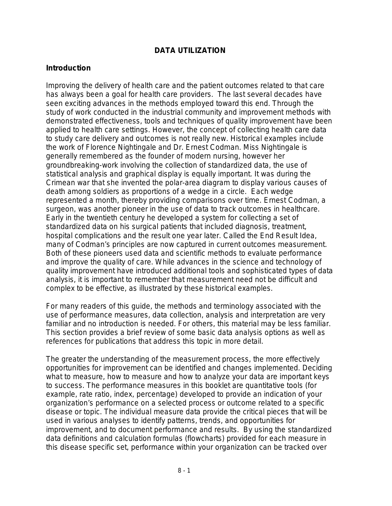## **DATA UTILIZATION**

#### *Introduction*

Improving the delivery of health care and the patient outcomes related to that care has always been a goal for health care providers. The last several decades have seen exciting advances in the methods employed toward this end. Through the study of work conducted in the industrial community and improvement methods with demonstrated effectiveness, tools and techniques of quality improvement have been applied to health care settings. However, the concept of collecting health care data to study care delivery and outcomes is not really new. Historical examples include the work of Florence Nightingale and Dr. Ernest Codman. Miss Nightingale is generally remembered as the founder of modern nursing, however her groundbreaking-work involving the collection of standardized data, the use of statistical analysis and graphical display is equally important. It was during the Crimean war that she invented the polar-area diagram to display various causes of death among soldiers as proportions of a wedge in a circle. Each wedge represented a month, thereby providing comparisons over time. Ernest Codman, a surgeon, was another pioneer in the use of data to track outcomes in healthcare. Early in the twentieth century he developed a system for collecting a set of standardized data on his surgical patients that included diagnosis, treatment, hospital complications and the result one year later. Called the End Result Idea, many of Codman's principles are now captured in current outcomes measurement. Both of these pioneers used data and scientific methods to evaluate performance and improve the quality of care. While advances in the science and technology of quality improvement have introduced additional tools and sophisticated types of data analysis, it is important to remember that measurement need not be difficult and complex to be effective, as illustrated by these historical examples.

For many readers of this guide, the methods and terminology associated with the use of performance measures, data collection, analysis and interpretation are very familiar and no introduction is needed. For others, this material may be less familiar. This section provides a brief review of some basic data analysis options as well as references for publications that address this topic in more detail.

The greater the understanding of the measurement process, the more effectively opportunities for improvement can be identified and changes implemented. Deciding what to measure, how to measure and how to analyze your data are important keys to success. The performance measures in this booklet are quantitative tools (for example, rate ratio, index, percentage) developed to provide an indication of your organization's performance on a selected process or outcome related to a specific disease or topic. The individual measure data provide the critical pieces that will be used in various analyses to identify patterns, trends, and opportunities for improvement, and to document performance and results. By using the standardized data definitions and calculation formulas (flowcharts) provided for each measure in this disease specific set, performance within your organization can be tracked over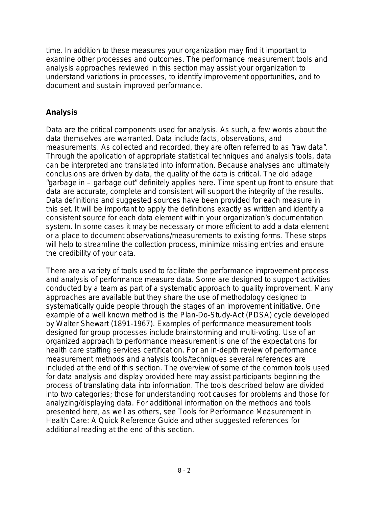time. In addition to these measures your organization may find it important to examine other processes and outcomes. The performance measurement tools and analysis approaches reviewed in this section may assist your organization to understand variations in processes, to identify improvement opportunities, and to document and sustain improved performance.

## *Analysis*

Data are the critical components used for analysis. As such, a few words about the data themselves are warranted. Data include facts, observations, and measurements. As collected and recorded, they are often referred to as "raw data". Through the application of appropriate statistical techniques and analysis tools, data can be interpreted and translated into information. Because analyses and ultimately conclusions are driven by data, the quality of the data is critical. The old adage "garbage in – garbage out" definitely applies here. Time spent up front to ensure that data are accurate, complete and consistent will support the integrity of the results. Data definitions and suggested sources have been provided for each measure in this set. It will be important to apply the definitions exactly as written and identify a consistent source for each data element within your organization's documentation system. In some cases it may be necessary or more efficient to add a data element or a place to document observations/measurements to existing forms. These steps will help to streamline the collection process, minimize missing entries and ensure the credibility of your data.

There are a variety of tools used to facilitate the performance improvement process and analysis of performance measure data. Some are designed to support activities conducted by a team as part of a systematic approach to quality improvement. Many approaches are available but they share the use of methodology designed to systematically guide people through the stages of an improvement initiative. One example of a well known method is the Plan-Do-Study-Act (PDSA) cycle developed by Walter Shewart (1891-1967). Examples of performance measurement tools designed for group processes include brainstorming and multi-voting. Use of an organized approach to performance measurement is one of the expectations for health care staffing services certification. For an in-depth review of performance measurement methods and analysis tools/techniques several references are included at the end of this section. The overview of some of the common tools used for data analysis and display provided here may assist participants beginning the process of translating data into information. The tools described below are divided into two categories; those for understanding root causes for problems and those for analyzing/displaying data. For additional information on the methods and tools presented here, as well as others, see *Tools for Performance Measurement in Health Care: A Quick Reference Guide* and other suggested references for additional reading at the end of this section.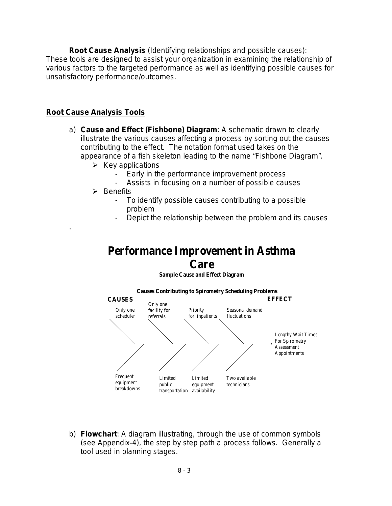*Root Cause Analysis (Identifying relationships and possible causes):* These tools are designed to assist your organization in examining the relationship of various factors to the targeted performance as well as identifying possible causes for unsatisfactory performance/outcomes.

## **Root Cause Analysis Tools**

.

- a) **Cause and Effect (Fishbone) Diagram**: A schematic drawn to clearly illustrate the various causes affecting a process by sorting out the causes contributing to the effect. The notation format used takes on the appearance of a fish skeleton leading to the name "Fishbone Diagram".
	- $\triangleright$  Key applications
		- Early in the performance improvement process
		- Assists in focusing on a number of possible causes
	- $\triangleright$  Benefits
		- To identify possible causes contributing to a possible problem
		- Depict the relationship between the problem and its causes

# **Performance Improvement in Asthma Care**

**Sample Cause and Effect Diagram**



b) **Flowchart**: A diagram illustrating, through the use of common symbols (see Appendix-4), the step by step path a process follows. Generally a tool used in planning stages.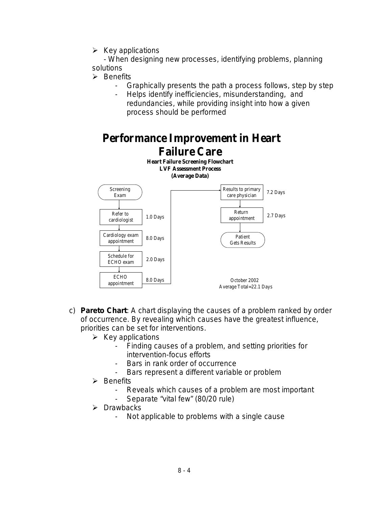$\triangleright$  Key applications

- When designing new processes, identifying problems, planning solutions

- $\triangleright$  Benefits
	- Graphically presents the path a process follows, step by step
	- Helps identify inefficiencies, misunderstanding, and redundancies, while providing insight into how a given process should be performed

# **Performance Improvement in Heart**



- c) **Pareto Chart**: A chart displaying the causes of a problem ranked by order of occurrence. By revealing which causes have the greatest influence, priorities can be set for interventions.
	- $\triangleright$  Key applications
		- Finding causes of a problem, and setting priorities for intervention-focus efforts
			- Bars in rank order of occurrence
			- Bars represent a different variable or problem
	- $\triangleright$  Benefits
		- Reveals which causes of a problem are most important
		- Separate "vital few" (80/20 rule)
	- $\triangleright$  Drawbacks
		- Not applicable to problems with a single cause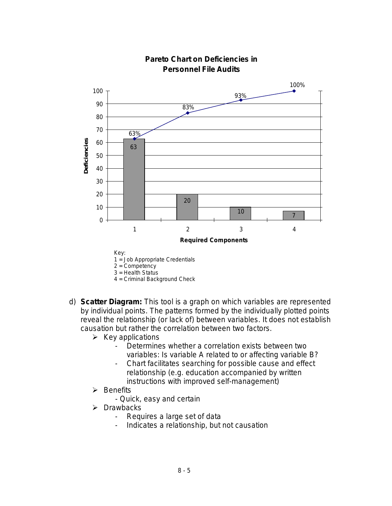

#### **Pareto Chart on Deficiencies in Personnel File Audits**

2 = Competency



4 = Criminal Background Check

- d) **Scatter Diagram:** This tool is a graph on which variables are represented by individual points. The patterns formed by the individually plotted points reveal the relationship (or lack of) between variables. It does not establish causation but rather the correlation between two factors.
	- $\triangleright$  Key applications
		- Determines whether a correlation exists between two variables: Is variable A related to or affecting variable B?
		- Chart facilitates searching for possible cause and effect relationship (e.g. education accompanied by written instructions with improved self-management)
	- $\triangleright$  Benefits
		- Quick, easy and certain
	- $\triangleright$  Drawbacks
		- Requires a large set of data
		- Indicates a relationship, but not causation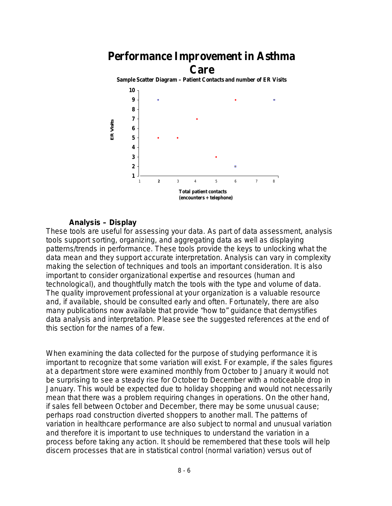# **Performance Improvement in Asthma**

**Care**

**Sample Scatter Diagram – Patient Contacts and number of ER Visits**



#### *Analysis – Display*

These tools are useful for assessing your data. As part of data assessment, analysis tools support sorting, organizing, and aggregating data as well as displaying patterns/trends in performance. These tools provide the keys to unlocking what the data mean and they support accurate interpretation. Analysis can vary in complexity making the selection of techniques and tools an important consideration. It is also important to consider organizational expertise and resources (human and technological), and thoughtfully match the tools with the type and volume of data. The quality improvement professional at your organization is a valuable resource and, if available, should be consulted early and often. Fortunately, there are also many publications now available that provide "how to" guidance that demystifies data analysis and interpretation. Please see the suggested references at the end of this section for the names of a few.

When examining the data collected for the purpose of studying performance it is important to recognize that some variation will exist. For example, if the sales figures at a department store were examined monthly from October to January it would not be surprising to see a steady rise for October to December with a noticeable drop in January. This would be expected due to holiday shopping and would not necessarily mean that there was a problem requiring changes in operations. On the other hand, if sales fell between October and December, there may be some unusual cause; perhaps road construction diverted shoppers to another mall. The patterns of variation in healthcare performance are also subject to normal and unusual variation and therefore it is important to use techniques to understand the variation in a process before taking any action. It should be remembered that these tools will help discern processes that are in *statistical control* (normal variation) versus *out of*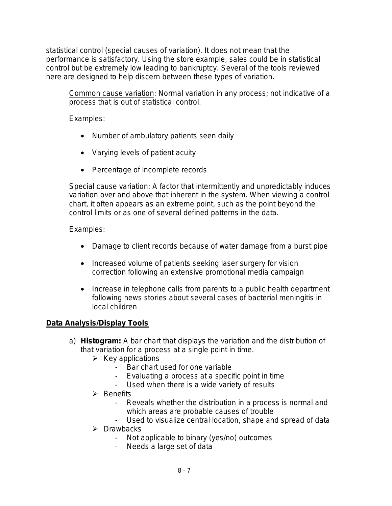*statistical control* (special causes of variation). It does not mean that the performance is satisfactory. Using the store example, sales could be in statistical control but be extremely low leading to bankruptcy. Several of the tools reviewed here are designed to help discern between these types of variation.

Common cause variation: Normal variation in any process; not indicative of a process that is out of statistical control.

Examples:

- Number of ambulatory patients seen daily
- Varying levels of patient acuity
- Percentage of incomplete records

Special cause variation: A factor that intermittently and unpredictably induces variation over and above that inherent in the system. When viewing a control chart, it often appears as an extreme point, such as the point beyond the control limits or as one of several defined patterns in the data.

## Examples:

- Damage to client records because of water damage from a burst pipe
- Increased volume of patients seeking laser surgery for vision correction following an extensive promotional media campaign
- Increase in telephone calls from parents to a public health department following news stories about several cases of bacterial meningitis in local children

## **Data Analysis/Display Tools**

- a) **Histogram:** A bar chart that displays the variation and the distribution of that variation for a process at a single point in time.
	- $\triangleright$  Key applications
		- Bar chart used for one variable
		- Evaluating a process at a specific point in time
		- Used when there is a wide variety of results
	- $\triangleright$  Benefits
		- Reveals whether the distribution in a process is normal and which areas are probable causes of trouble
		- Used to visualize central location, shape and spread of data
	- $\triangleright$  Drawbacks
		- Not applicable to binary (yes/no) outcomes
		- Needs a large set of data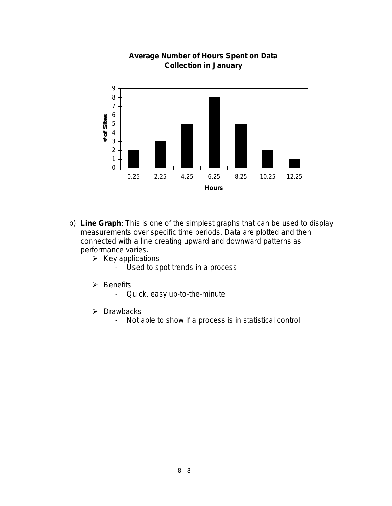

## **Average Number of Hours Spent on Data Collection in January**

- b) **Line Graph**: This is one of the simplest graphs that can be used to display measurements over specific time periods. Data are plotted and then connected with a line creating upward and downward patterns as performance varies.
	- $\triangleright$  Key applications
		- Used to spot trends in a process
	- $\triangleright$  Benefits
		- Quick, easy up-to-the-minute
	- $\triangleright$  Drawbacks
		- Not able to show if a process is in statistical control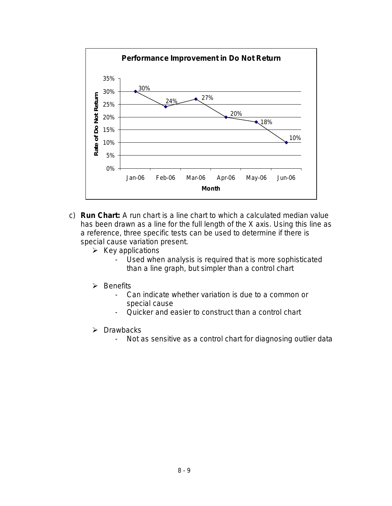

- c) **Run Chart:** A run chart is a line chart to which a calculated median value has been drawn as a line for the full length of the X axis. Using this line as a reference, three specific tests can be used to determine if there is special cause variation present.
	- $\triangleright$  Key applications
		- Used when analysis is required that is more sophisticated than a line graph, but simpler than a control chart
	- $\triangleright$  Benefits
		- Can indicate whether variation is due to a common or special cause
		- Quicker and easier to construct than a control chart
	- $\triangleright$  Drawbacks
		- Not as sensitive as a control chart for diagnosing outlier data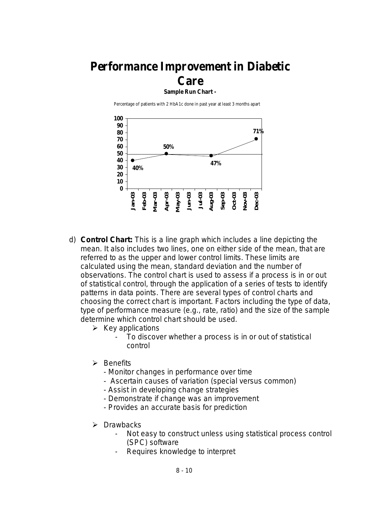# **Performance Improvement in Diabetic Care Sample Run Chart -**

# Percentage of patients with 2 HbA1c done in past year at least 3 months apart



**50%**

**40%**

**47%**



- $\triangleright$  Key applications
	- To discover whether a process is in or out of statistical control
- $\triangleright$  Benefits
	- Monitor changes in performance over time
	- Ascertain causes of variation (special versus common)
	- Assist in developing change strategies
	- Demonstrate if change was an improvement
	- Provides an accurate basis for prediction
- $\triangleright$  Drawbacks
	- Not easy to construct unless using statistical process control (SPC) software
	- Requires knowledge to interpret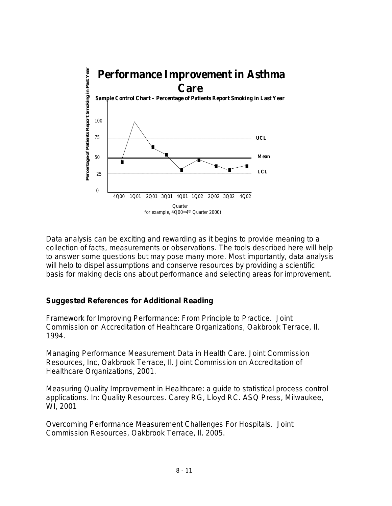

Data analysis can be exciting and rewarding as it begins to provide meaning to a collection of facts, measurements or observations. The tools described here will help to answer some questions but may pose many more. Most importantly, data analysis will help to dispel assumptions and conserve resources by providing a scientific basis for making decisions about performance and selecting areas for improvement.

## *Suggested References for Additional Reading*

*Framework for Improving Performance: From Principle to Practice*. Joint Commission on Accreditation of Healthcare Organizations, Oakbrook Terrace, Il. 1994.

*Managing Performance Measurement Data in Health Care.* Joint Commission Resources, Inc, Oakbrook Terrace, Il. Joint Commission on Accreditation of Healthcare Organizations, 2001.

*Measuring Quality Improvement in Healthcare: a guide to statistical process control applications*. In: Quality Resources. Carey RG, Lloyd RC. ASQ Press, Milwaukee, WI, 2001

Overcoming Performance Measurement Challenges For Hospitals. Joint Commission Resources, Oakbrook Terrace, Il. 2005.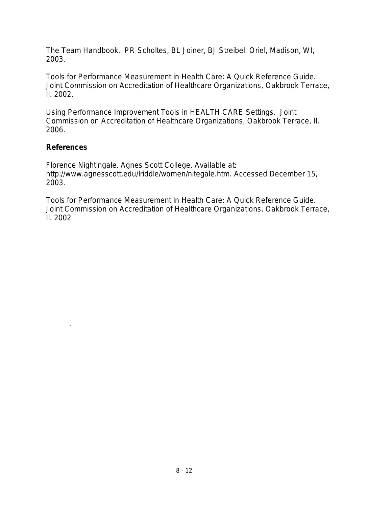*The Team Handbook.* PR Scholtes, BL Joiner, BJ Streibel. Oriel, Madison, WI, 2003.

*Tools for Performance Measurement in Health Care: A Quick Reference Guide.* Joint Commission on Accreditation of Healthcare Organizations, Oakbrook Terrace, Il. 2002.

*Using Performance Improvement Tools in HEALTH CARE Settings.* Joint Commission on Accreditation of Healthcare Organizations, Oakbrook Terrace, Il. 2006.

## **References**

.

Florence Nightingale. Agnes Scott College. Available at: [http://www.agnesscott.edu/lriddle/women/nitegale.htm. Accessed December 15,](http://www.agnesscott.edu/lriddle/women/nitegale.htm.%20Accessed%20December%2015) 2003.

Tools for Performance Measurement in Health Care: A Quick Reference Guide*.* Joint Commission on Accreditation of Healthcare Organizations, Oakbrook Terrace, Il. 2002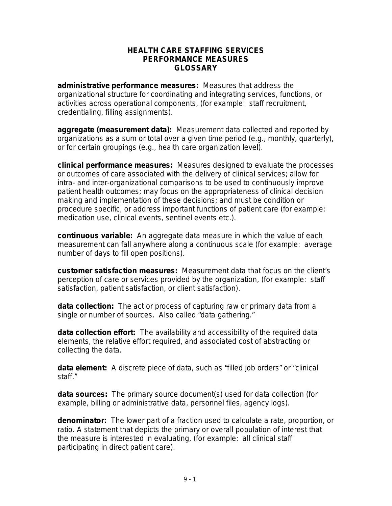#### **HEALTH CARE STAFFING SERVICES PERFORMANCE MEASURES GLOSSARY**

**administrative performance measures:** Measures that address the organizational structure for coordinating and integrating services, functions, or activities across operational components, (for example: staff recruitment, credentialing, filling assignments).

**aggregate (measurement data):** Measurement data collected and reported by organizations as a sum or total over a given time period (e.g., monthly, quarterly), or for certain groupings (e.g., health care organization level).

**clinical performance measures:** Measures designed to evaluate the processes or outcomes of care associated with the delivery of clinical services; allow for intra- and inter-organizational comparisons to be used to continuously improve patient health outcomes; may focus on the appropriateness of clinical decision making and implementation of these decisions; and must be condition or procedure specific, or address important functions of patient care (for example: medication use, clinical events, sentinel events etc.).

**continuous variable:** An aggregate data measure in which the value of each measurement can fall anywhere along a continuous scale (for example: average number of days to fill open positions).

**customer satisfaction measures:** Measurement data that focus on the client's perception of care or services provided by the organization, (for example: staff satisfaction, patient satisfaction, or client satisfaction).

**data collection:** The act or process of capturing raw or primary data from a single or number of sources. Also called "data gathering."

**data collection effort:** The availability and accessibility of the required data elements, the relative effort required, and associated cost of abstracting or collecting the data.

**data element:** A discrete piece of data, such as "filled job orders" or "clinical staff."

**data sources:** The primary source document(s) used for data collection (for example, billing or administrative data, personnel files, agency logs).

**denominator:** The lower part of a fraction used to calculate a rate, proportion, or ratio. A statement that depicts the primary or overall population of interest that the measure is interested in evaluating, (for example: all clinical staff participating in direct patient care).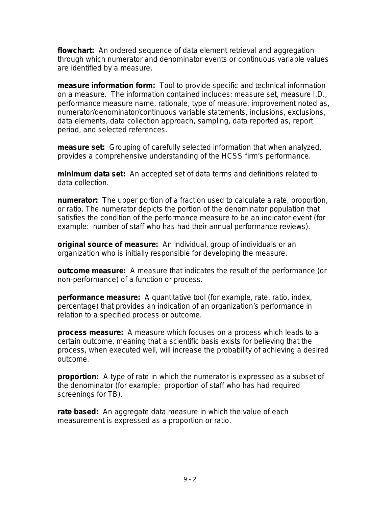**flowchart:** An ordered sequence of data element retrieval and aggregation through which numerator and denominator events or continuous variable values are identified by a measure.

**measure information form:** Tool to provide specific and technical information on a measure. The information contained includes: measure set, measure I.D., performance measure name, rationale, type of measure, improvement noted as, numerator/denominator/continuous variable statements, inclusions, exclusions, data elements, data collection approach, sampling, data reported as, report period, and selected references.

**measure set:** Grouping of carefully selected information that when analyzed, provides a comprehensive understanding of the HCSS firm's performance.

**minimum data set:** An accepted set of data terms and definitions related to data collection.

**numerator:** The upper portion of a fraction used to calculate a rate, proportion, or ratio. The numerator depicts the portion of the denominator population that satisfies the condition of the performance measure to be an indicator event (for example: number of staff who has had their annual performance reviews).

**original source of measure:** An individual, group of individuals or an organization who is initially responsible for developing the measure.

**outcome measure:** A measure that indicates the result of the performance (or non-performance) of a function or process.

**performance measure:** A quantitative tool (for example, rate, ratio, index, percentage) that provides an indication of an organization's performance in relation to a specified process or outcome.

**process measure:** A measure which focuses on a process which leads to a certain outcome, meaning that a scientific basis exists for believing that the process, when executed well, will increase the probability of achieving a desired outcome.

**proportion:** A type of rate in which the numerator is expressed as a subset of the denominator (for example: proportion of staff who has had required screenings for TB).

**rate based:** An aggregate data measure in which the value of each measurement is expressed as a proportion or ratio.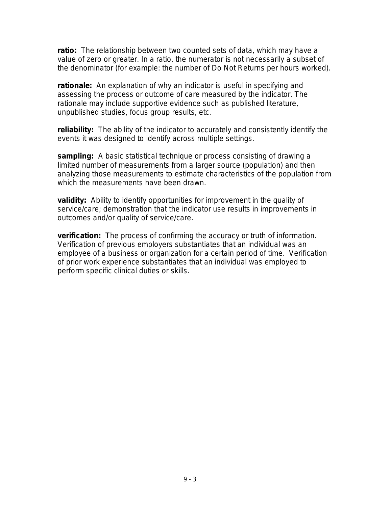**ratio:** The relationship between two counted sets of data, which may have a value of zero or greater. In a ratio, the numerator is not necessarily a subset of the denominator (for example: the number of Do Not Returns per hours worked).

**rationale:** An explanation of why an indicator is useful in specifying and assessing the process or outcome of care measured by the indicator. The rationale may include supportive evidence such as published literature, unpublished studies, focus group results, etc.

**reliability:** The ability of the indicator to accurately and consistently identify the events it was designed to identify across multiple settings.

**sampling:** A basic statistical technique or process consisting of drawing a limited number of measurements from a larger source (population) and then analyzing those measurements to estimate characteristics of the population from which the measurements have been drawn.

**validity:** Ability to identify opportunities for improvement in the quality of service/care; demonstration that the indicator use results in improvements in outcomes and/or quality of service/care.

**verification:** The process of confirming the accuracy or truth of information. Verification of previous employers substantiates that an individual was an employee of a business or organization for a certain period of time. Verification of prior work experience substantiates that an individual was employed to perform specific clinical duties or skills.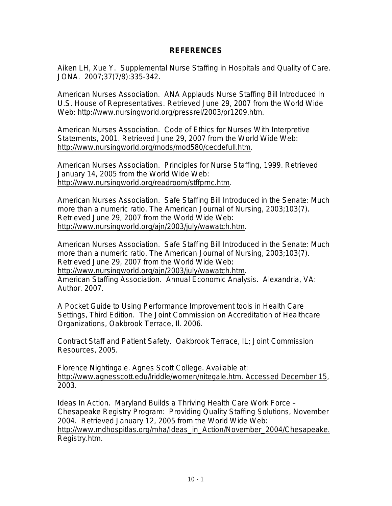#### **REFERENCES**

Aiken LH, Xue Y. Supplemental Nurse Staffing in Hospitals and Quality of Care. *JONA.* 2007;37(7/8):335-342.

American Nurses Association. ANA Applauds Nurse Staffing Bill Introduced In U.S. House of Representatives. Retrieved June 29, 2007 from the World Wide Web: [http://www.nursingworld.org/pressrel/2003/pr1209.htm.](http://www.nursingworld.org/pressrel/2003/pr1209.htm)

American Nurses Association. Code of Ethics for Nurses With Interpretive Statements, 2001. Retrieved June 29, 2007 from the World Wide Web: [http://www.nursingworld.org/mods/mod580/cecdefull.htm.](http://www.nursingworld.org/mods/mod580/cecdefull.htm)

American Nurses Association. Principles for Nurse Staffing, 1999. Retrieved January 14, 2005 from the World Wide Web: [http://www.nursingworld.org/readroom/stffprnc.htm.](http://www.nursingworld.org/readroom/stffprnc.htm)

American Nurses Association. Safe Staffing Bill Introduced in the Senate: Much more than a numeric ratio. *The American Journal of Nursing,* 2003;103(7). Retrieved June 29, 2007 from the World Wide Web: [http://www.nursingworld.org/ajn/2003/july/wawatch.htm.](http://www.nursingworld.org/ajn/2003/july/wawatch.htm)

American Nurses Association. Safe Staffing Bill Introduced in the Senate: Much more than a numeric ratio. *The American Journal of Nursing,* 2003;103(7). Retrieved June 29, 2007 from the World Wide Web: [http://www.nursingworld.org/ajn/2003/july/wawatch.htm.](http://www.nursingworld.org/ajn/2003/july/wawatch.htm) American Staffing Association. *Annual Economic Analysis.* Alexandria, VA: Author. 2007.

A Pocket Guide to Using Performance Improvement tools in Health Care Settings, Third Edition. The Joint Commission on Accreditation of Healthcare Organizations, Oakbrook Terrace, Il. 2006.

Contract Staff and Patient Safety. Oakbrook Terrace, IL; Joint Commission Resources, 2005.

Florence Nightingale. Agnes Scott College. Available at: [http://www.agnesscott.edu/lriddle/women/nitegale.htm. Accessed December 15,](http://www.agnesscott.edu/lriddle/women/nitegale.htm.%20Accessed%20December%2015) 2003.

Ideas In Action. Maryland Builds a Thriving Health Care Work Force – Chesapeake Registry Program: Providing Quality Staffing Solutions, November 2004. Retrieved January 12, 2005 from the World Wide Web: [http://www.mdhospitlas.org/mha/Ideas\\_in\\_Action/November\\_2004/Chesapeake.](http://www.mdhospitlas.org/mha/Ideas_in_Action/November_2004/Chesapeake.Registry.htm) [Registry.htm.](http://www.mdhospitlas.org/mha/Ideas_in_Action/November_2004/Chesapeake.Registry.htm)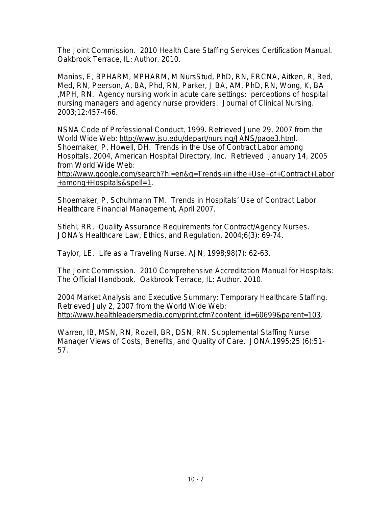The Joint Commission. *2010 Health Care Staffing Services Certification Manual.* Oakbrook Terrace, IL: Author. 2010.

Manias, E, BPHARM, MPHARM, M NursStud, PhD, RN, FRCNA, Aitken, R, Bed, Med, RN, Peerson, A, BA, Phd, RN, Parker, J BA, AM, PhD, RN, Wong, K, BA ,MPH, RN. Agency nursing work in acute care settings: perceptions of hospital nursing managers and agency nurse providers. *Journal of Clinical Nursing.*  2003;12:457-466.

NSNA Code of Professional Conduct, 1999. Retrieved June 29, 2007 from the World Wide Web: [http://www.jsu.edu/depart/nursing/JANS/page3.html](http://www.jsu.edu/depart/nursing/JANS/page3.htm). Shoemaker, P, Howell, DH. Trends in the Use of Contract Labor among Hospitals, 2004, American Hospital Directory, Inc. Retrieved January 14, 2005 from World Wide Web:

[http://www.google.com/search?hl=en&q=Trends+in+the+Use+of+Contract+Labor](http://www.google.com/search?hl=en&q=Trends+in+the+Use+of+Contract+Labor+among+Hospitals&spell=1) [+among+Hospitals&spell=1.](http://www.google.com/search?hl=en&q=Trends+in+the+Use+of+Contract+Labor+among+Hospitals&spell=1)

Shoemaker, P, Schuhmann TM. Trends in Hospitals' Use of Contract Labor. *Healthcare Financial Management,* April 2007.

Stiehl, RR. Quality Assurance Requirements for Contract/Agency Nurses. *JONA's Healthcare Law, Ethics, and Regulation,* 2004;6(3): 69-74.

Taylor, LE. Life as a Traveling Nurse. *AJN,* 1998;98(7): 62-63.

The Joint Commission. *2010 Comprehensive Accreditation Manual for Hospitals: The Official Handbook.* Oakbrook Terrace, IL: Author. 2010.

2004 Market Analysis and Executive Summary: Temporary Healthcare Staffing. Retrieved July 2, 2007 from the World Wide Web: [http://www.healthleadersmedia.com/print.cfm?content\\_id=60699&parent=103.](http://www.healthleadersmedia.com/print.cfm?content_id=60699&parent=103)

Warren, IB, MSN, RN, Rozell, BR, DSN, RN. Supplemental Staffing Nurse Manager Views of Costs, Benefits, and Quality of Care. *JONA.*1995;25 (6):51- 57.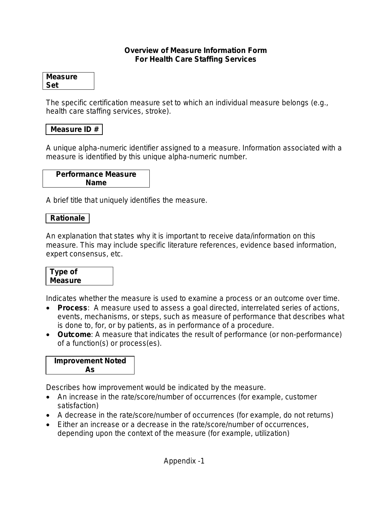## **Overview of Measure Information Form For Health Care Staffing Services**

#### **Measure Set**

The specific certification measure set to which an individual measure belongs (e.g., health care staffing services, stroke).

## **Measure ID #**

A unique alpha-numeric identifier assigned to a measure. Information associated with a measure is identified by this unique alpha-numeric number.

| <b>Performance Measure</b> |  |
|----------------------------|--|
| <b>Name</b>                |  |

A brief title that uniquely identifies the measure.

## **Rationale**

An explanation that states why it is important to receive data/information on this measure. This may include specific literature references, evidence based information, expert consensus, etc.

#### **Type of Measure**

Indicates whether the measure is used to examine a process or an outcome over time.

- **Process**: A measure used to assess a goal directed, interrelated series of actions, events, mechanisms, or steps, such as measure of performance that describes what is done to, for, or by patients, as in performance of a procedure.
- **Outcome**: A measure that indicates the result of performance (or non-performance) of a function(s) or process(es).

| <b>Improvement Noted</b> |  |
|--------------------------|--|
| As.                      |  |

Describes how improvement would be indicated by the measure.

- An increase in the rate/score/number of occurrences (for example, customer satisfaction)
- A decrease in the rate/score/number of occurrences (for example, do not returns)
- Either an increase or a decrease in the rate/score/number of occurrences, depending upon the context of the measure (for example, utilization)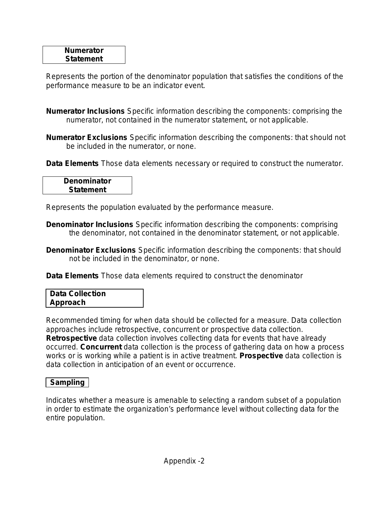#### **Numerator Statement**

Represents the portion of the denominator population that satisfies the conditions of the performance measure to be an indicator event.

**Numerator Inclusions** Specific information describing the components: comprising the numerator, not contained in the numerator statement, or not applicable.

**Numerator Exclusions** Specific information describing the components: that should not be included in the numerator, or none.

**Data Elements** Those data elements necessary or required to construct the numerator.

| <b>Denominator</b> |  |
|--------------------|--|
| <b>Statement</b>   |  |

Represents the population evaluated by the performance measure.

**Denominator Inclusions** Specific information describing the components: comprising the denominator, not contained in the denominator statement, or not applicable.

**Denominator Exclusions** Specific information describing the components: that should not be included in the denominator, or none.

**Data Elements** Those data elements required to construct the denominator

#### **Data Collection Approach**

Recommended timing for when data should be collected for a measure. Data collection approaches include retrospective, concurrent or prospective data collection. **Retrospective** data collection involves collecting data for events that have already occurred. **Concurrent** data collection is the process of gathering data on how a process works or is working while a patient is in active treatment. **Prospective** data collection is data collection in anticipation of an event or occurrence.

# **Sampling**

Indicates whether a measure is amenable to selecting a random subset of a population in order to estimate the organization's performance level without collecting data for the entire population.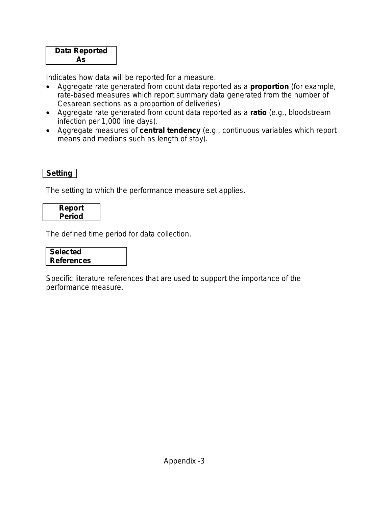### **Data Reported As**

Indicates how data will be reported for a measure.

- Aggregate rate generated from count data reported as a *proportion* (for example, rate-based measures which report summary data generated from the number of Cesarean sections as a proportion of deliveries)
- Aggregate rate generated from count data reported as a *ratio* (e.g., bloodstream infection per 1,000 line days).
- Aggregate measures of *central tendency* (e.g., continuous variables which report means and medians such as length of stay).

# **Setting**

The setting to which the performance measure set applies.



The defined time period for data collection.

### **Selected References**

Specific literature references that are used to support the importance of the performance measure.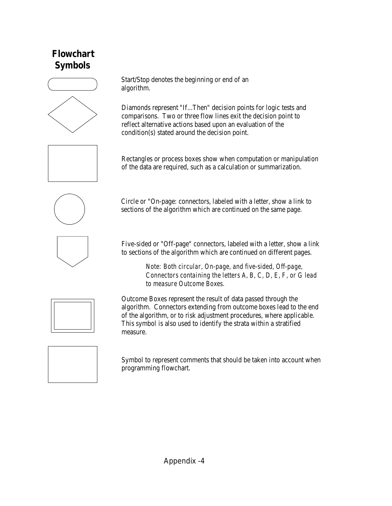# **Flowchart Symbols**



Start/Stop denotes the beginning or end of an algorithm.

Diamonds represent "If...Then" decision points for logic tests and comparisons. Two or three flow lines exit the decision point to reflect alternative actions based upon an evaluation of the condition(s) stated around the decision point.

Rectangles or process boxes show when computation or manipulation of the data are required, such as a calculation or summarization.



Circle or "On-page: connectors, labeled with a letter, show a link to sections of the algorithm which are continued on the same page.

Five-sided or "Off-page" connectors, labeled with a letter, show a link to sections of the algorithm which are continued on different pages.

> *Note: Both circular, On-page, and five-sided, Off-page, Connectors containing the letters A, B, C, D, E, F, or G lead to measure Outcome Boxes.*



Outcome Boxes represent the result of data passed through the algorithm. Connectors extending from outcome boxes lead to the end of the algorithm, or to risk adjustment procedures, where applicable. This symbol is also used to identify the strata within a stratified measure.



Symbol to represent comments that should be taken into account when programming flowchart.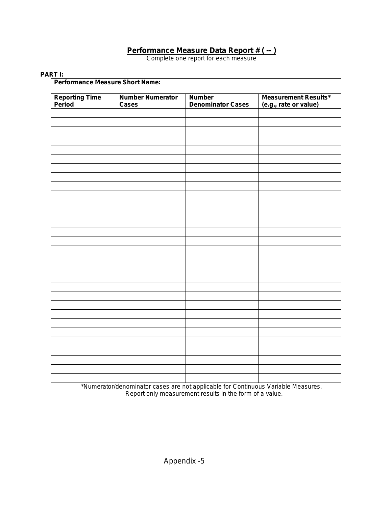### **Performance Measure Data Report # ( -- )**

*Complete one report for each measure*

#### **PART I:**

| .<br><b>Performance Measure Short Name:</b> |                                         |                                           |                                                      |
|---------------------------------------------|-----------------------------------------|-------------------------------------------|------------------------------------------------------|
| <b>Reporting Time</b><br>Period             | <b>Number Numerator</b><br><b>Cases</b> | <b>Number</b><br><b>Denominator Cases</b> | <b>Measurement Results*</b><br>(e.g., rate or value) |
|                                             |                                         |                                           |                                                      |
|                                             |                                         |                                           |                                                      |
|                                             |                                         |                                           |                                                      |
|                                             |                                         |                                           |                                                      |
|                                             |                                         |                                           |                                                      |
|                                             |                                         |                                           |                                                      |
|                                             |                                         |                                           |                                                      |
|                                             |                                         |                                           |                                                      |
|                                             |                                         |                                           |                                                      |
|                                             |                                         |                                           |                                                      |
|                                             |                                         |                                           |                                                      |
|                                             |                                         |                                           |                                                      |
|                                             |                                         |                                           |                                                      |
|                                             |                                         |                                           |                                                      |
|                                             |                                         |                                           |                                                      |
|                                             |                                         |                                           |                                                      |
|                                             |                                         |                                           |                                                      |
|                                             |                                         |                                           |                                                      |
|                                             |                                         |                                           |                                                      |
|                                             |                                         |                                           |                                                      |
|                                             |                                         |                                           |                                                      |
|                                             |                                         |                                           |                                                      |
|                                             |                                         |                                           |                                                      |
|                                             |                                         |                                           |                                                      |
|                                             |                                         |                                           |                                                      |
|                                             |                                         |                                           |                                                      |
|                                             |                                         |                                           |                                                      |
|                                             |                                         |                                           |                                                      |
|                                             |                                         |                                           |                                                      |

\*Numerator/denominator cases are not applicable for Continuous Variable Measures. Report only measurement results in the form of a value.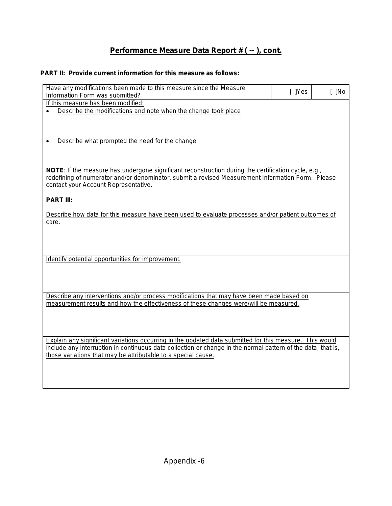# **Performance Measure Data Report # ( -- ), cont.**

#### **PART II: Provide current information for this measure as follows:**

| Have any modifications been made to this measure since the Measure<br>Information Form was submitted?                                                                                                                                                                                    | $\lceil$  Yes | $\lceil$ $\rceil$ No |  |  |  |  |
|------------------------------------------------------------------------------------------------------------------------------------------------------------------------------------------------------------------------------------------------------------------------------------------|---------------|----------------------|--|--|--|--|
| If this measure has been modified:                                                                                                                                                                                                                                                       |               |                      |  |  |  |  |
| Describe the modifications and note when the change took place<br>Describe what prompted the need for the change                                                                                                                                                                         |               |                      |  |  |  |  |
| NOTE: If the measure has undergone significant reconstruction during the certification cycle, e.g.,<br>redefining of numerator and/or denominator, submit a revised Measurement Information Form. Please<br>contact your Account Representative.                                         |               |                      |  |  |  |  |
| <b>PART III:</b>                                                                                                                                                                                                                                                                         |               |                      |  |  |  |  |
| Describe how data for this measure have been used to evaluate processes and/or patient outcomes of<br>care.                                                                                                                                                                              |               |                      |  |  |  |  |
| Identify potential opportunities for improvement.                                                                                                                                                                                                                                        |               |                      |  |  |  |  |
| Describe any interventions and/or process modifications that may have been made based on<br>measurement results and how the effectiveness of these changes were/will be measured.                                                                                                        |               |                      |  |  |  |  |
| Explain any significant variations occurring in the updated data submitted for this measure. This would<br>include any interruption in continuous data collection or change in the normal pattern of the data, that is,<br>those variations that may be attributable to a special cause. |               |                      |  |  |  |  |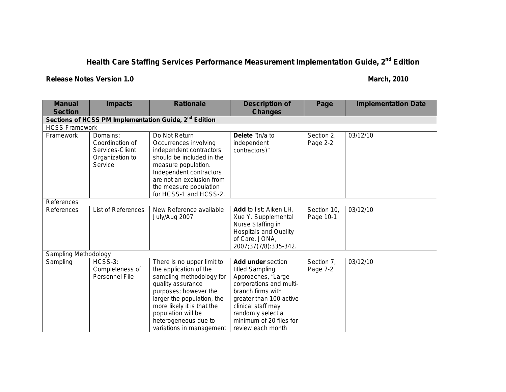# **Health Care Staffing Services Performance Measurement Implementation Guide, 2nd Edition**

### **Release Notes Version 1.0 March, 2010 March, 2010**

| <b>Manual</b><br><b>Section</b> | <b>Impacts</b>                                                               | <b>Rationale</b>                                                                                                                                                                                                                                                     | <b>Description of</b><br><b>Changes</b>                                                                                                                                                                                          | Page                     | <b>Implementation Date</b> |
|---------------------------------|------------------------------------------------------------------------------|----------------------------------------------------------------------------------------------------------------------------------------------------------------------------------------------------------------------------------------------------------------------|----------------------------------------------------------------------------------------------------------------------------------------------------------------------------------------------------------------------------------|--------------------------|----------------------------|
|                                 |                                                                              | Sections of HCSS PM Implementation Guide, 2 <sup>nd</sup> Edition                                                                                                                                                                                                    |                                                                                                                                                                                                                                  |                          |                            |
| <b>HCSS Framework</b>           |                                                                              |                                                                                                                                                                                                                                                                      |                                                                                                                                                                                                                                  |                          |                            |
| Framework                       | Domains:<br>Coordination of<br>Services-Client<br>Organization to<br>Service | Do Not Return<br>Occurrences involving<br>independent contractors<br>should be included in the<br>measure population.<br>Independent contractors<br>are not an exclusion from<br>the measure population<br>for HCSS-1 and HCSS-2.                                    | Delete "(n/a to<br>independent<br>contractors)"                                                                                                                                                                                  | Section 2,<br>Page 2-2   | 03/12/10                   |
| References                      |                                                                              |                                                                                                                                                                                                                                                                      |                                                                                                                                                                                                                                  |                          |                            |
| References                      | List of References                                                           | New Reference available<br>July/Aug 2007                                                                                                                                                                                                                             | Add to list: Aiken LH,<br>Xue Y. Supplemental<br>Nurse Staffing in<br><b>Hospitals and Quality</b><br>of Care. JONA,<br>2007;37(7/8):335-342.                                                                                    | Section 10,<br>Page 10-1 | 03/12/10                   |
| Sampling Methodology            |                                                                              |                                                                                                                                                                                                                                                                      |                                                                                                                                                                                                                                  |                          |                            |
| Sampling                        | HCSS-3:<br>Completeness of<br>Personnel File                                 | There is no upper limit to<br>the application of the<br>sampling methodology for<br>quality assurance<br>purposes; however the<br>larger the population, the<br>more likely it is that the<br>population will be<br>heterogeneous due to<br>variations in management | Add under section<br>titled Sampling<br>Approaches, "Large<br>corporations and multi-<br>branch firms with<br>greater than 100 active<br>clinical staff may<br>randomly select a<br>minimum of 20 files for<br>review each month | Section 7,<br>Page 7-2   | 03/12/10                   |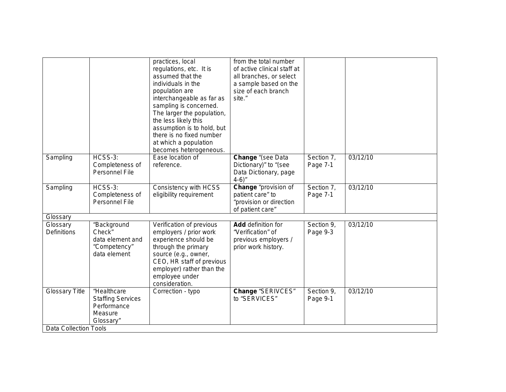|                                |                                                                                | practices, local<br>regulations, etc. It is<br>assumed that the<br>individuals in the<br>population are<br>interchangeable as far as<br>sampling is concerned.<br>The larger the population,<br>the less likely this<br>assumption is to hold, but<br>there is no fixed number<br>at which a population<br>becomes heterogeneous. | from the total number<br>of active clinical staff at<br>all branches, or select<br>a sample based on the<br>size of each branch<br>site." |                        |          |  |  |
|--------------------------------|--------------------------------------------------------------------------------|-----------------------------------------------------------------------------------------------------------------------------------------------------------------------------------------------------------------------------------------------------------------------------------------------------------------------------------|-------------------------------------------------------------------------------------------------------------------------------------------|------------------------|----------|--|--|
| Sampling                       | HCSS-3:<br>Completeness of<br>Personnel File                                   | Ease location of<br>reference.                                                                                                                                                                                                                                                                                                    | Change "(see Data<br>Dictionary)" to "(see<br>Data Dictionary, page<br>$4-6$ "                                                            | Section 7,<br>Page 7-1 | 03/12/10 |  |  |
| Sampling                       | HCSS-3:<br>Completeness of<br>Personnel File                                   | Consistency with HCSS<br>eligibility requirement                                                                                                                                                                                                                                                                                  | Change "provision of<br>patient care" to<br>"provision or direction<br>of patient care"                                                   | Section 7,<br>Page 7-1 | 03/12/10 |  |  |
| Glossary                       |                                                                                |                                                                                                                                                                                                                                                                                                                                   |                                                                                                                                           |                        |          |  |  |
| Glossary<br><b>Definitions</b> | "Background<br>Check"<br>data element and<br>"Competency"<br>data element      | Verification of previous<br>employers / prior work<br>experience should be<br>through the primary<br>source (e.g., owner,<br>CEO, HR staff of previous<br>employer) rather than the<br>employee under<br>consideration.                                                                                                           | Add definition for<br>"Verification" of<br>previous employers /<br>prior work history.                                                    | Section 9,<br>Page 9-3 | 03/12/10 |  |  |
| <b>Glossary Title</b>          | "Healthcare<br><b>Staffing Services</b><br>Performance<br>Measure<br>Glossary" | Correction - typo                                                                                                                                                                                                                                                                                                                 | Change "SERIVCES"<br>to "SERVICES"                                                                                                        | Section 9.<br>Page 9-1 | 03/12/10 |  |  |
| <b>Data Collection Tools</b>   |                                                                                |                                                                                                                                                                                                                                                                                                                                   |                                                                                                                                           |                        |          |  |  |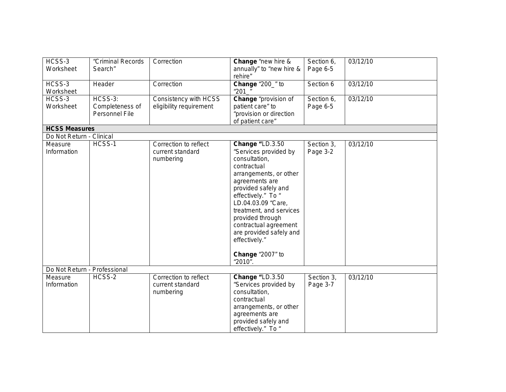| HCSS-3<br>03/12/10<br>"Criminal Records<br>Correction<br><b>Change</b> "new hire &<br>Section 6,<br>Search"<br>Worksheet<br>annually" to "new hire &<br>Page 6-5<br>rehire"<br>HCSS-3<br>Change "200_" to<br>03/12/10<br>Correction<br>Section 6<br>Header<br>"201"<br>Worksheet<br>HCSS-3<br>HCSS-3:<br><b>Change</b> "provision of<br>03/12/10<br>Consistency with HCSS<br>Section 6,<br>Worksheet<br>Completeness of<br>Page 6-5<br>eligibility requirement<br>patient care" to<br>Personnel File<br>"provision or direction<br>of patient care"<br><b>HCSS Measures</b><br>Do Not Return - Clinical<br>Change "LD.3.50<br>HCSS-1<br>Correction to reflect<br>Section 3,<br>03/12/10<br>Measure<br>"Services provided by<br>Information<br>current standard<br>Page 3-2<br>consultation,<br>numbering<br>contractual<br>arrangements, or other<br>agreements are<br>provided safely and<br>effectively." To "<br>LD.04.03.09 "Care,<br>treatment, and services<br>provided through<br>contractual agreement<br>are provided safely and<br>effectively."<br>Change "2007" to<br>"2010".<br>Do Not Return - Professional<br>Change "LD.3.50<br>Measure<br>HCSS-2<br>Correction to reflect<br>Section 3,<br>03/12/10<br>"Services provided by<br>Information<br>current standard<br>Page 3-7<br>consultation,<br>numbering<br>contractual<br>arrangements, or other<br>agreements are<br>provided safely and |  |  |  |  |  |  |  |  |
|--------------------------------------------------------------------------------------------------------------------------------------------------------------------------------------------------------------------------------------------------------------------------------------------------------------------------------------------------------------------------------------------------------------------------------------------------------------------------------------------------------------------------------------------------------------------------------------------------------------------------------------------------------------------------------------------------------------------------------------------------------------------------------------------------------------------------------------------------------------------------------------------------------------------------------------------------------------------------------------------------------------------------------------------------------------------------------------------------------------------------------------------------------------------------------------------------------------------------------------------------------------------------------------------------------------------------------------------------------------------------------------------------------------|--|--|--|--|--|--|--|--|
|                                                                                                                                                                                                                                                                                                                                                                                                                                                                                                                                                                                                                                                                                                                                                                                                                                                                                                                                                                                                                                                                                                                                                                                                                                                                                                                                                                                                              |  |  |  |  |  |  |  |  |
|                                                                                                                                                                                                                                                                                                                                                                                                                                                                                                                                                                                                                                                                                                                                                                                                                                                                                                                                                                                                                                                                                                                                                                                                                                                                                                                                                                                                              |  |  |  |  |  |  |  |  |
|                                                                                                                                                                                                                                                                                                                                                                                                                                                                                                                                                                                                                                                                                                                                                                                                                                                                                                                                                                                                                                                                                                                                                                                                                                                                                                                                                                                                              |  |  |  |  |  |  |  |  |
|                                                                                                                                                                                                                                                                                                                                                                                                                                                                                                                                                                                                                                                                                                                                                                                                                                                                                                                                                                                                                                                                                                                                                                                                                                                                                                                                                                                                              |  |  |  |  |  |  |  |  |
|                                                                                                                                                                                                                                                                                                                                                                                                                                                                                                                                                                                                                                                                                                                                                                                                                                                                                                                                                                                                                                                                                                                                                                                                                                                                                                                                                                                                              |  |  |  |  |  |  |  |  |
|                                                                                                                                                                                                                                                                                                                                                                                                                                                                                                                                                                                                                                                                                                                                                                                                                                                                                                                                                                                                                                                                                                                                                                                                                                                                                                                                                                                                              |  |  |  |  |  |  |  |  |
|                                                                                                                                                                                                                                                                                                                                                                                                                                                                                                                                                                                                                                                                                                                                                                                                                                                                                                                                                                                                                                                                                                                                                                                                                                                                                                                                                                                                              |  |  |  |  |  |  |  |  |
|                                                                                                                                                                                                                                                                                                                                                                                                                                                                                                                                                                                                                                                                                                                                                                                                                                                                                                                                                                                                                                                                                                                                                                                                                                                                                                                                                                                                              |  |  |  |  |  |  |  |  |
|                                                                                                                                                                                                                                                                                                                                                                                                                                                                                                                                                                                                                                                                                                                                                                                                                                                                                                                                                                                                                                                                                                                                                                                                                                                                                                                                                                                                              |  |  |  |  |  |  |  |  |
|                                                                                                                                                                                                                                                                                                                                                                                                                                                                                                                                                                                                                                                                                                                                                                                                                                                                                                                                                                                                                                                                                                                                                                                                                                                                                                                                                                                                              |  |  |  |  |  |  |  |  |
|                                                                                                                                                                                                                                                                                                                                                                                                                                                                                                                                                                                                                                                                                                                                                                                                                                                                                                                                                                                                                                                                                                                                                                                                                                                                                                                                                                                                              |  |  |  |  |  |  |  |  |
|                                                                                                                                                                                                                                                                                                                                                                                                                                                                                                                                                                                                                                                                                                                                                                                                                                                                                                                                                                                                                                                                                                                                                                                                                                                                                                                                                                                                              |  |  |  |  |  |  |  |  |
|                                                                                                                                                                                                                                                                                                                                                                                                                                                                                                                                                                                                                                                                                                                                                                                                                                                                                                                                                                                                                                                                                                                                                                                                                                                                                                                                                                                                              |  |  |  |  |  |  |  |  |
|                                                                                                                                                                                                                                                                                                                                                                                                                                                                                                                                                                                                                                                                                                                                                                                                                                                                                                                                                                                                                                                                                                                                                                                                                                                                                                                                                                                                              |  |  |  |  |  |  |  |  |
|                                                                                                                                                                                                                                                                                                                                                                                                                                                                                                                                                                                                                                                                                                                                                                                                                                                                                                                                                                                                                                                                                                                                                                                                                                                                                                                                                                                                              |  |  |  |  |  |  |  |  |
|                                                                                                                                                                                                                                                                                                                                                                                                                                                                                                                                                                                                                                                                                                                                                                                                                                                                                                                                                                                                                                                                                                                                                                                                                                                                                                                                                                                                              |  |  |  |  |  |  |  |  |
|                                                                                                                                                                                                                                                                                                                                                                                                                                                                                                                                                                                                                                                                                                                                                                                                                                                                                                                                                                                                                                                                                                                                                                                                                                                                                                                                                                                                              |  |  |  |  |  |  |  |  |
|                                                                                                                                                                                                                                                                                                                                                                                                                                                                                                                                                                                                                                                                                                                                                                                                                                                                                                                                                                                                                                                                                                                                                                                                                                                                                                                                                                                                              |  |  |  |  |  |  |  |  |
|                                                                                                                                                                                                                                                                                                                                                                                                                                                                                                                                                                                                                                                                                                                                                                                                                                                                                                                                                                                                                                                                                                                                                                                                                                                                                                                                                                                                              |  |  |  |  |  |  |  |  |
|                                                                                                                                                                                                                                                                                                                                                                                                                                                                                                                                                                                                                                                                                                                                                                                                                                                                                                                                                                                                                                                                                                                                                                                                                                                                                                                                                                                                              |  |  |  |  |  |  |  |  |
|                                                                                                                                                                                                                                                                                                                                                                                                                                                                                                                                                                                                                                                                                                                                                                                                                                                                                                                                                                                                                                                                                                                                                                                                                                                                                                                                                                                                              |  |  |  |  |  |  |  |  |
|                                                                                                                                                                                                                                                                                                                                                                                                                                                                                                                                                                                                                                                                                                                                                                                                                                                                                                                                                                                                                                                                                                                                                                                                                                                                                                                                                                                                              |  |  |  |  |  |  |  |  |
|                                                                                                                                                                                                                                                                                                                                                                                                                                                                                                                                                                                                                                                                                                                                                                                                                                                                                                                                                                                                                                                                                                                                                                                                                                                                                                                                                                                                              |  |  |  |  |  |  |  |  |
|                                                                                                                                                                                                                                                                                                                                                                                                                                                                                                                                                                                                                                                                                                                                                                                                                                                                                                                                                                                                                                                                                                                                                                                                                                                                                                                                                                                                              |  |  |  |  |  |  |  |  |
|                                                                                                                                                                                                                                                                                                                                                                                                                                                                                                                                                                                                                                                                                                                                                                                                                                                                                                                                                                                                                                                                                                                                                                                                                                                                                                                                                                                                              |  |  |  |  |  |  |  |  |
|                                                                                                                                                                                                                                                                                                                                                                                                                                                                                                                                                                                                                                                                                                                                                                                                                                                                                                                                                                                                                                                                                                                                                                                                                                                                                                                                                                                                              |  |  |  |  |  |  |  |  |
|                                                                                                                                                                                                                                                                                                                                                                                                                                                                                                                                                                                                                                                                                                                                                                                                                                                                                                                                                                                                                                                                                                                                                                                                                                                                                                                                                                                                              |  |  |  |  |  |  |  |  |
|                                                                                                                                                                                                                                                                                                                                                                                                                                                                                                                                                                                                                                                                                                                                                                                                                                                                                                                                                                                                                                                                                                                                                                                                                                                                                                                                                                                                              |  |  |  |  |  |  |  |  |
|                                                                                                                                                                                                                                                                                                                                                                                                                                                                                                                                                                                                                                                                                                                                                                                                                                                                                                                                                                                                                                                                                                                                                                                                                                                                                                                                                                                                              |  |  |  |  |  |  |  |  |
|                                                                                                                                                                                                                                                                                                                                                                                                                                                                                                                                                                                                                                                                                                                                                                                                                                                                                                                                                                                                                                                                                                                                                                                                                                                                                                                                                                                                              |  |  |  |  |  |  |  |  |
|                                                                                                                                                                                                                                                                                                                                                                                                                                                                                                                                                                                                                                                                                                                                                                                                                                                                                                                                                                                                                                                                                                                                                                                                                                                                                                                                                                                                              |  |  |  |  |  |  |  |  |
|                                                                                                                                                                                                                                                                                                                                                                                                                                                                                                                                                                                                                                                                                                                                                                                                                                                                                                                                                                                                                                                                                                                                                                                                                                                                                                                                                                                                              |  |  |  |  |  |  |  |  |
|                                                                                                                                                                                                                                                                                                                                                                                                                                                                                                                                                                                                                                                                                                                                                                                                                                                                                                                                                                                                                                                                                                                                                                                                                                                                                                                                                                                                              |  |  |  |  |  |  |  |  |
|                                                                                                                                                                                                                                                                                                                                                                                                                                                                                                                                                                                                                                                                                                                                                                                                                                                                                                                                                                                                                                                                                                                                                                                                                                                                                                                                                                                                              |  |  |  |  |  |  |  |  |
|                                                                                                                                                                                                                                                                                                                                                                                                                                                                                                                                                                                                                                                                                                                                                                                                                                                                                                                                                                                                                                                                                                                                                                                                                                                                                                                                                                                                              |  |  |  |  |  |  |  |  |
| effectively." To "                                                                                                                                                                                                                                                                                                                                                                                                                                                                                                                                                                                                                                                                                                                                                                                                                                                                                                                                                                                                                                                                                                                                                                                                                                                                                                                                                                                           |  |  |  |  |  |  |  |  |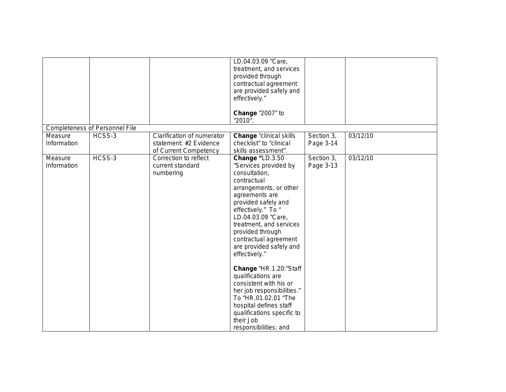|                        |                                       |                                                                               | LD.04.03.09 "Care,<br>treatment, and services<br>provided through<br>contractual agreement<br>are provided safely and<br>effectively."<br>Change "2007" to<br>"2010".                                                                                                                                                                                                                                                                                                                                                                     |                         |          |
|------------------------|---------------------------------------|-------------------------------------------------------------------------------|-------------------------------------------------------------------------------------------------------------------------------------------------------------------------------------------------------------------------------------------------------------------------------------------------------------------------------------------------------------------------------------------------------------------------------------------------------------------------------------------------------------------------------------------|-------------------------|----------|
|                        | <b>Completeness of Personnel File</b> |                                                                               |                                                                                                                                                                                                                                                                                                                                                                                                                                                                                                                                           |                         |          |
| Measure<br>Information | HCSS-3                                | Clarification of numerator<br>statement: #2 Evidence<br>of Current Competency | <b>Change</b> "clinical skills<br>checklist" to "clinical<br>skills assessment".                                                                                                                                                                                                                                                                                                                                                                                                                                                          | Section 3,<br>Page 3-14 | 03/12/10 |
| Measure<br>Information | HCSS-3                                | Correction to reflect<br>current standard<br>numbering                        | Change "LD.3.50<br>"Services provided by<br>consultation,<br>contractual<br>arrangements, or other<br>agreements are<br>provided safely and<br>effectively." To "<br>LD.04.03.09 "Care,<br>treatment, and services<br>provided through<br>contractual agreement<br>are provided safely and<br>effectively."<br>Change "HR.1.20:"Staff<br>qualifications are<br>consistent with his or<br>her job responsibilities."<br>To "HR.01.02.01 "The<br>hospital defines staff<br>qualifications specific to<br>their Job<br>responsibilities; and | Section 3,<br>Page 3-13 | 03/12/10 |